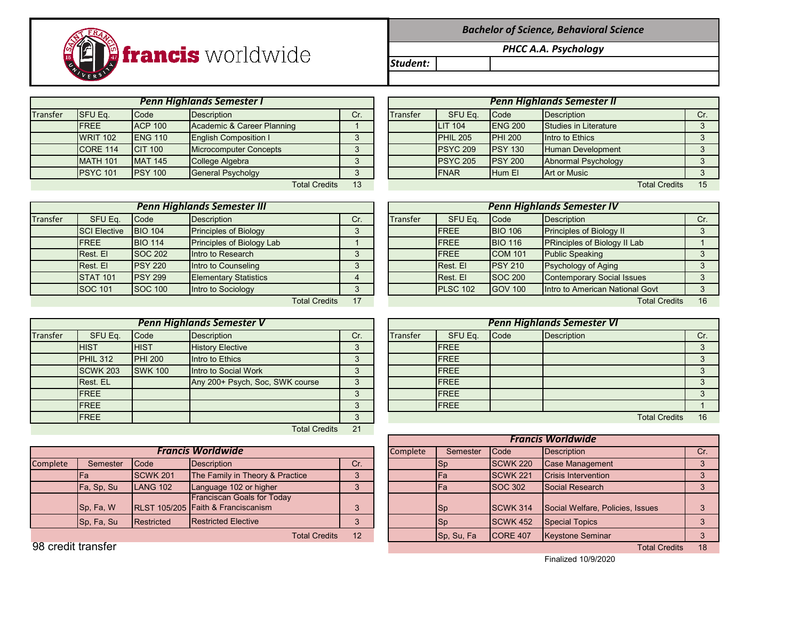*Bachelor of Science, Behavioral Science*

*PHCC A.A. Psychology*

*Student:*

Transfer SFU Eq. |Code |Description | Cr. | Transfer | SFU Eq. |Code |Description | Cr. FREE ACP 100 Academic & Career Planning 1 WRIT 102 ENG 110 English Composition I 3 CORE 114 CIT 100 Microcomputer Concepts 3 PSYC 101 PSY 100 General Psycholgy **CAR Hum El Art of Art or Music 3** *Penn Highlands Semester I Penn Highlands Semester II*

|                 |                 | <b>Penn Highlands Semester I</b> |     | <b>Penn Highlands Semester II</b> |                     |                 |                          |                      |     |  |  |
|-----------------|-----------------|----------------------------------|-----|-----------------------------------|---------------------|-----------------|--------------------------|----------------------|-----|--|--|
| SFU Eq.         | Code            | <b>Description</b>               | Cr. | Transfer                          | SFU Eq.             | Code            | Description              |                      | Cr. |  |  |
| <b>FREE</b>     | <b>ACP 100</b>  | Academic & Career Planning       |     |                                   | <b>LIT 104</b>      | <b>IENG 200</b> | Studies in Literature    |                      |     |  |  |
| <b>WRIT 102</b> | <b>ENG 110</b>  | <b>English Composition I</b>     |     |                                   | PHIL <sub>205</sub> | <b>PHI 200</b>  | Intro to Ethics          |                      |     |  |  |
| <b>CORE 114</b> | <b>CIT 100</b>  | Microcomputer Concepts           |     |                                   | PSYC 209            | <b>PSY 130</b>  | <b>Human Development</b> |                      |     |  |  |
| <b>MATH 101</b> | <b>MAT 145</b>  | College Algebra                  |     |                                   | PSYC 205            | <b>PSY 200</b>  | Abnormal Psychology      |                      |     |  |  |
| <b>PSYC 101</b> | <b>IPSY 100</b> | <b>General Psycholgy</b>         |     |                                   | <b>IFNAR</b>        | <b>Hum El</b>   | <b>Art or Music</b>      |                      |     |  |  |
|                 |                 | <b>Total Credits</b>             | 13  |                                   |                     |                 |                          | <b>Total Credits</b> | 15  |  |  |

|          | <b>Penn Highlands Semester III</b> |                |                                  |          |  |          |                 |                | <b>Penn Highlands Semester IV</b>   |     |
|----------|------------------------------------|----------------|----------------------------------|----------|--|----------|-----------------|----------------|-------------------------------------|-----|
| Transfer | SFU Eq.                            | <b>Code</b>    | Description                      | Cr.      |  | Transfer | SFU Eq.         | Code           | <b>Description</b>                  | Cr. |
|          | <b>SCI Elective</b>                | <b>BIO 104</b> | <b>Principles of Biology</b>     |          |  |          | <b>IFREE</b>    | <b>BIO 106</b> | <b>Principles of Biology II</b>     |     |
|          | <b>FREE</b>                        | <b>BIO 114</b> | <b>Principles of Biology Lab</b> |          |  |          | <b>IFREE</b>    | <b>BIO 116</b> | <b>PRinciples of Biology II Lab</b> |     |
|          | Rest. El                           | <b>SOC 202</b> | Intro to Research                | $\Omega$ |  |          | <b>IFREE</b>    | <b>COM 101</b> | <b>Public Speaking</b>              |     |
|          | Rest. El                           | <b>PSY 220</b> | Intro to Counseling              | 3        |  |          | <b>Rest.</b> El | <b>PSY 210</b> | <b>Psychology of Aging</b>          |     |
|          | <b>STAT 101</b>                    | <b>PSY 299</b> | <b>Elementary Statistics</b>     |          |  |          | Rest. El        | <b>SOC 200</b> | <b>Contemporary Social Issues</b>   |     |
|          | <b>SOC 101</b>                     | <b>SOC 100</b> | Intro to Sociology               |          |  |          | <b>PLSC 102</b> | <b>GOV 100</b> | Intro to American National Govt     |     |
|          |                                    |                | <b>Total Credits</b>             | 17       |  |          |                 |                | <b>Total Credits</b>                | 16  |

|                 | <b>Penn Highlands Semester V</b> |                |                                 |          |  |          |              |      | <b>Penn Highlands Semester VI</b> |     |
|-----------------|----------------------------------|----------------|---------------------------------|----------|--|----------|--------------|------|-----------------------------------|-----|
| <b>Transfer</b> | SFU Eq.                          | Code           | Description                     | Cr.      |  | Transfer | SFU Eq.      | Code | <b>Description</b>                | Cr. |
|                 | <b>HIST</b>                      | <b>HIST</b>    | <b>History Elective</b>         | $\Omega$ |  |          | <b>IFREE</b> |      |                                   |     |
|                 | PHIL 312                         | <b>PHI 200</b> | Intro to Ethics                 | $\Omega$ |  |          | <b>IFREE</b> |      |                                   |     |
|                 | <b>SCWK 203</b>                  | <b>SWK 100</b> | Intro to Social Work            | 3        |  |          | <b>IFREE</b> |      |                                   |     |
|                 | Rest. EL                         |                | Any 200+ Psych, Soc, SWK course | っ        |  |          | <b>IFREE</b> |      |                                   |     |
|                 | <b>FREE</b>                      |                |                                 | っ        |  |          | <b>IFREE</b> |      |                                   |     |
|                 | <b>FREE</b>                      |                |                                 | ◠        |  |          | <b>IFREE</b> |      |                                   |     |
|                 | <b>FREE</b>                      |                |                                 | っ        |  |          |              |      | <b>Total Credits</b>              | 16  |
|                 |                                  |                | <b>Total Credits</b>            | 21       |  |          |              |      |                                   |     |

|          |            |                 |                                                                         |     |          |            | <b>Francis Worldwide</b> |                                  |  |
|----------|------------|-----------------|-------------------------------------------------------------------------|-----|----------|------------|--------------------------|----------------------------------|--|
|          |            |                 | <b>Francis Worldwide</b>                                                |     | Complete | Semester   | <b>Code</b>              | Description                      |  |
| Complete | Semester   | <b>Code</b>     | Description                                                             | Cr. |          | <b>ISp</b> | <b>ISCWK 220</b>         | Case Management                  |  |
|          |            | <b>SCWK 201</b> | The Family in Theory & Practice                                         | 3   |          | Fa         | <b>SCWK 221</b>          | Crisis Intervention              |  |
|          | Fa, Sp, Su | LANG 102        | Language 102 or higher                                                  | 3   |          | Fa         | <b>SOC 302</b>           | Social Research                  |  |
|          | Sp, Fa, W  |                 | <b>Franciscan Goals for Today</b><br>RLST 105/205 Faith & Franciscanism | 2   |          | <b>Sp</b>  | <b>ISCWK 314</b>         | Social Welfare, Policies, Issues |  |
|          | Sp, Fa, Su | Restricted      | <b>Restricted Elective</b>                                              | J   |          | Sp         | <b>ISCWK 452</b>         | <b>Special Topics</b>            |  |
|          |            |                 | <b>Total Credits</b>                                                    | 12  |          | Sp, Su, Fa | ICORE 407                | <b>Keystone Seminar</b>          |  |

|                     |                 | <b>Penn Highlands Semester III</b> |                 |          |                 |                | <b>Penn Highlands Semester IV</b> |     |
|---------------------|-----------------|------------------------------------|-----------------|----------|-----------------|----------------|-----------------------------------|-----|
| SFU Eq.             | Code            | <b>Description</b>                 | Cr <sub>1</sub> | Transfer | SFU Eq.         | Code           | Description                       | Cr. |
| <b>SCI Elective</b> | <b>BIO 104</b>  | <b>Principles of Biology</b>       | 3               |          | <b>FREE</b>     | <b>BIO 106</b> | <b>Principles of Biology II</b>   |     |
| <b>FREE</b>         | <b>BIO 114</b>  | Principles of Biology Lab          |                 |          | <b>FREE</b>     | <b>BIO 116</b> | PRinciples of Biology II Lab      |     |
| Rest. El            | <b>SOC 202</b>  | Intro to Research                  | 3               |          | <b>IFREE</b>    | <b>COM 101</b> | <b>Public Speaking</b>            |     |
| Rest. El            | <b>PSY 220</b>  | Intro to Counseling                | 3               |          | Rest. El        | <b>PSY 210</b> | <b>Psychology of Aging</b>        |     |
| <b>STAT 101</b>     | <b>IPSY 299</b> | <b>Elementary Statistics</b>       | 4               |          | Rest. El        | <b>SOC 200</b> | <b>Contemporary Social Issues</b> |     |
| SOC 101             | <b>SOC 100</b>  | Intro to Sociology                 | 3               |          | <b>PLSC 102</b> | <b>GOV 100</b> | Intro to American National Govt   |     |
|                     |                 | <b>Total Credits</b>               | 17              |          |                 |                | <b>Total Credits</b>              | 16  |
|                     |                 |                                    |                 |          |                 |                |                                   |     |

|                 |                | <b>Penn Highlands Semester V</b> |     |                 |              |      | <b>Penn Highlands Semester VI</b> |    |
|-----------------|----------------|----------------------------------|-----|-----------------|--------------|------|-----------------------------------|----|
| SFU Eq.         | Code           | <b>Description</b>               | Cr. | <b>Transfer</b> | SFU Eq.      | Code | <b>Description</b>                |    |
| <b>HIST</b>     | <b>HIST</b>    | <b>History Elective</b>          |     |                 | <b>IFREE</b> |      |                                   |    |
| <b>PHIL 312</b> | <b>PHI 200</b> | Intro to Ethics                  |     |                 | <b>IFREE</b> |      |                                   |    |
| <b>SCWK 203</b> | <b>SWK 100</b> | Intro to Social Work             |     |                 | <b>IFREE</b> |      |                                   |    |
| Rest. EL        |                | Any 200+ Psych, Soc, SWK course  | 3   |                 | <b>IFREE</b> |      |                                   |    |
| <b>FREE</b>     |                |                                  |     |                 | <b>IFREE</b> |      |                                   |    |
| <b>FREE</b>     |                |                                  |     |                 | <b>IFREE</b> |      |                                   |    |
| <b>FREE</b>     |                |                                  |     |                 |              |      | <b>Total Credits</b>              | 16 |

|                    |            |                 |                                                                         |     |          |            |                  | <b>Francis Worldwide</b>         |     |
|--------------------|------------|-----------------|-------------------------------------------------------------------------|-----|----------|------------|------------------|----------------------------------|-----|
|                    |            |                 | <b>Francis Worldwide</b>                                                |     | Complete | Semester   | <b>I</b> Code    | Description                      | Cr. |
| Complete           | Semester   | Code            | Description                                                             | Cr. |          | $ $ Sp     | <b>SCWK 220</b>  | Case Management                  |     |
|                    | ⊩a         | <b>SCWK 201</b> | The Family in Theory & Practice                                         |     |          | <b>IFa</b> | <b>SCWK 221</b>  | <b>Crisis Intervention</b>       |     |
|                    | Fa, Sp, Su | <b>LANG 102</b> | Language 102 or higher                                                  |     |          | lFa        | <b>SOC 302</b>   | Social Research                  |     |
|                    | Sp. Fa, W  |                 | <b>Franciscan Goals for Today</b><br>RLST 105/205 Faith & Franciscanism | 3   |          | $ $ Sp     | <b>ISCWK 314</b> | Social Welfare, Policies, Issues |     |
|                    | Sp, Fa, Su | Restricted      | <b>Restricted Elective</b>                                              |     |          | $ $ Sp     | <b>SCWK 452</b>  | Special Topics                   |     |
|                    |            |                 | <b>Total Credits</b>                                                    | 12  |          | Sp, Su, Fa | ICORE 407        | Keystone Seminar                 |     |
| 98 credit transfer |            |                 |                                                                         |     |          |            |                  | <b>Total Credits</b>             | 18  |

Finalized 10/9/2020

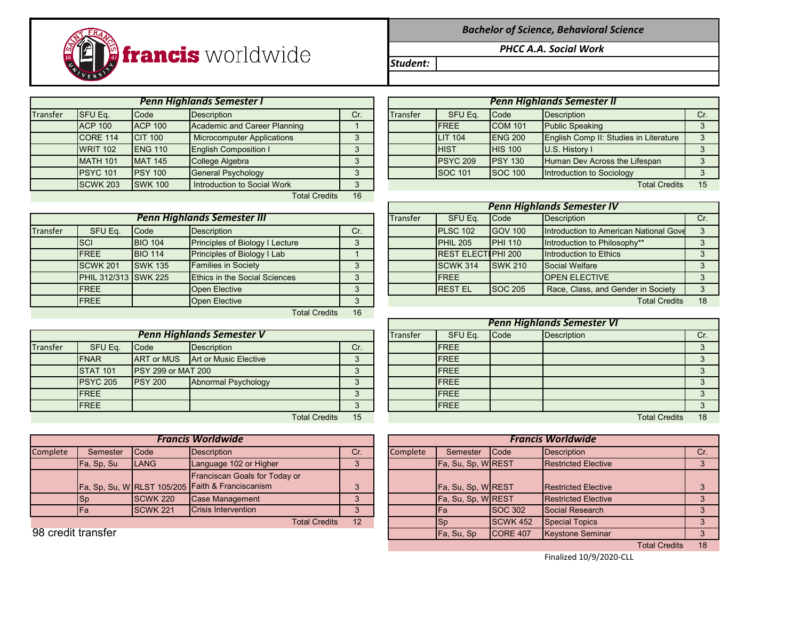

*Bachelor of Science, Behavioral Science*

*PHCC A.A. Social Work* 

*Student:*

Transfer SFU Eq. |Code |Description | Cr. | Transfer | SFU Eq. |Code |Description | Cr. ACP 100 ACP 100 Academic and Career Planning 1 CORE 114 CIT 100 | Microcomputer Applications | 3 WRIT 102 ENG 110 English Composition I 3 PSYC 101 PSY 100 General Psychology **SOC 101** 3 SCWK 203 SWK 100 Introduction to Social Work 3 Total Credits 16 *Penn Highlands Semester I Penn Highlands Semester II*

|          |                             |                | <b>Penn Highlands Semester III</b>   |     |  | Transfer | SFU Eq.                   | Code            | Description                            |  |
|----------|-----------------------------|----------------|--------------------------------------|-----|--|----------|---------------------------|-----------------|----------------------------------------|--|
| Transfer | SFU Eq.                     | Code           | <b>Description</b>                   | Cr. |  |          | PLSC 102                  | <b>GOV 100</b>  | Introduction to American National Gove |  |
|          | <b>SCI</b>                  | <b>BIO 104</b> | Principles of Biology I Lecture      | 3   |  |          | $PHIL$ 205                | <b>IPHI 110</b> | Introduction to Philosophy**           |  |
|          | <b>IFREE</b>                | <b>BIO 114</b> | Principles of Biology I Lab          |     |  |          | <b>REST ELECTIPHI 200</b> |                 | Introduction to Ethics                 |  |
|          | <b>SCWK 201</b>             | <b>SWK 135</b> | <b>Families in Society</b>           | 3   |  |          | <b>SCWK 314</b>           | <b>SWK 210</b>  | Social Welfare                         |  |
|          | <b>PHIL 312/313 SWK 225</b> |                | <b>Ethics in the Social Sciences</b> | 3   |  |          | <b>FREE</b>               |                 | <b>OPEN ELECTIVE</b>                   |  |
|          | <b>IFREE</b>                |                | Open Elective                        | 3   |  |          | <b>IREST EL</b>           | <b>SOC 205</b>  | Race, Class, and Gender in Society     |  |
|          | <b>IFREE</b>                |                | Open Elective                        | 3   |  |          |                           |                 | <b>Total Credits</b>                   |  |
|          |                             |                | Total Credits                        | 16  |  |          |                           |                 |                                        |  |

|          |                 |                            | <b>Penn Highlands Semester V</b>        |            | Transfer | SFU Eq.      | Code | Description          |    |
|----------|-----------------|----------------------------|-----------------------------------------|------------|----------|--------------|------|----------------------|----|
| Transfer | SFU Eq.         | Code                       | <b>Description</b>                      | Cr.        |          | <b>IFREE</b> |      |                      |    |
|          | <b>IFNAR</b>    |                            | <b>ART or MUS</b> Art or Music Elective | ◠          |          | <b>IFREE</b> |      |                      |    |
|          | <b>STAT 101</b> | <b>IPSY 299 or MAT 200</b> |                                         | ◠          |          | <b>IFREE</b> |      |                      |    |
|          | <b>PSYC 205</b> | <b>IPSY 200</b>            | Abnormal Psychology                     | ◠<br>s.    |          | <b>IFREE</b> |      |                      |    |
|          | <b>IFREE</b>    |                            |                                         | $\sqrt{2}$ |          | <b>IFREE</b> |      |                      |    |
|          | <b>IFREE</b>    |                            |                                         | っ          |          | <b>FREE</b>  |      |                      |    |
|          |                 |                            | <b>Total Credits</b>                    | 15         |          |              |      | <b>Total Credits</b> | 18 |

|          | <b>Francis Worldwide</b>   |                 |                                                  |     |  |          |                   |                  | <b>Francis Worldwide</b>   |    |
|----------|----------------------------|-----------------|--------------------------------------------------|-----|--|----------|-------------------|------------------|----------------------------|----|
| Complete | Semester                   | <b>Code</b>     | Description                                      | Cr. |  | Complete | Semester          | <b>Code</b>      | Description                | Cr |
|          | Fa, Sp, Su                 | <b>ILANG</b>    | Language 102 or Higher                           | ◠   |  |          | Fa, Su, Sp, WREST |                  | <b>Restricted Elective</b> |    |
|          |                            |                 | Franciscan Goals for Today or                    |     |  |          |                   |                  |                            |    |
|          |                            |                 | Fa, Sp, Su, W RLST 105/205 Faith & Franciscanism |     |  |          | Fa, Su, Sp, WREST |                  | <b>Restricted Elective</b> |    |
|          | <b>Sp</b>                  | <b>SCWK 220</b> | Case Management                                  |     |  |          | Fa, Su, Sp, WREST |                  | <b>Restricted Elective</b> |    |
|          | lFa                        | <b>SCWK 221</b> | Crisis Intervention                              |     |  |          | lFa               | <b>SOC 302</b>   | Social Research            |    |
|          | 12<br><b>Total Credits</b> |                 |                                                  |     |  |          | <b>I</b> Sp       | <b>ISCWK 452</b> | <b>Special Topics</b>      |    |

|                 |                 | <b>Penn Highlands Semester I</b>  |     |                 |                 |                | <b>Penn Highlands Semester II</b>      |  |
|-----------------|-----------------|-----------------------------------|-----|-----------------|-----------------|----------------|----------------------------------------|--|
| SFU Eq.         | Code            | <b>Description</b>                | Cr. | <b>Transfer</b> | SFU Eq.         | <b>Code</b>    | <b>Description</b>                     |  |
| <b>ACP 100</b>  | <b>ACP 100</b>  | Academic and Career Planning      |     |                 | <b>IFREE</b>    | <b>COM 101</b> | <b>Public Speaking</b>                 |  |
| <b>CORE 114</b> | <b>CIT 100</b>  | <b>Microcomputer Applications</b> |     |                 | <b>LIT 104</b>  | <b>ENG 200</b> | English Comp II: Studies in Literature |  |
| <b>WRIT 102</b> | <b>ENG 110</b>  | <b>English Composition I</b>      |     |                 | <b>IHIST</b>    | <b>HIS 100</b> | U.S. History I                         |  |
| <b>MATH 101</b> | <b>MAT 145</b>  | College Algebra                   |     |                 | <b>PSYC 209</b> | <b>PSY 130</b> | Human Dev Across the Lifespan          |  |
| <b>PSYC 101</b> | <b>IPSY 100</b> | <b>General Psychology</b>         |     |                 | <b>SOC 101</b>  | <b>SOC 100</b> | Introduction to Sociology              |  |
| <b>SCWK 203</b> | <b>SWK 100</b>  | Introduction to Social Work       |     |                 |                 |                | <b>Total Credits</b>                   |  |

|                      |                |                                        |     | <b>Penn Highlands Semester IV</b> |                            |                |                                        |     |  |  |  |
|----------------------|----------------|----------------------------------------|-----|-----------------------------------|----------------------------|----------------|----------------------------------------|-----|--|--|--|
|                      |                | <b>Penn Highlands Semester III</b>     |     | Transfer                          | SFU Eq.                    | Code           | Description                            | Cr. |  |  |  |
| SFU Eq.              | Code           | <b>Description</b>                     | Cr. |                                   | PLSC 102                   | <b>GOV 100</b> | Introduction to American National Gove |     |  |  |  |
| <b>SCI</b>           | <b>BIO 104</b> | <b>Principles of Biology I Lecture</b> | 3   |                                   | PHIL <sub>205</sub>        | <b>PHI 110</b> | Introduction to Philosophy**           |     |  |  |  |
| <b>FREE</b>          | <b>BIO 114</b> | <b>Principles of Biology I Lab</b>     |     |                                   | <b>IREST ELECTIPHI 200</b> |                | Introduction to Ethics                 |     |  |  |  |
| <b>SCWK 201</b>      | <b>SWK 135</b> | <b>Families in Society</b>             |     |                                   | SCWK 314                   | <b>SWK 210</b> | Social Welfare                         |     |  |  |  |
| PHIL 312/313 SWK 225 |                | Ethics in the Social Sciences          | 3   |                                   | <b>IFREE</b>               |                | <b>OPEN ELECTIVE</b>                   |     |  |  |  |
| <b>FREE</b>          |                | Open Elective                          | 3   |                                   | <b>RESTEL</b>              | <b>SOC 205</b> | Race, Class, and Gender in Society     | ◠   |  |  |  |
| <b>FREE</b>          |                | Open Elective                          | 3   |                                   |                            |                | <b>Total Credits</b>                   | 18  |  |  |  |

|                 |                           |                                  |     |                 | <b>Penn Highlands Semester VI</b> |              |             |                      |    |  |  |  |
|-----------------|---------------------------|----------------------------------|-----|-----------------|-----------------------------------|--------------|-------------|----------------------|----|--|--|--|
|                 |                           | <b>Penn Highlands Semester V</b> |     | <b>Transfer</b> | SFU Eq.                           | Code         | Description | Cr.                  |    |  |  |  |
| SFU Eq.         | Code                      | <b>Description</b>               | Cr. |                 |                                   | <b>IFREE</b> |             |                      |    |  |  |  |
| <b>FNAR</b>     | <b>ART or MUS</b>         | Art or Music Elective            |     |                 |                                   | <b>IFREE</b> |             |                      |    |  |  |  |
| <b>STAT 101</b> | <b>PSY 299 or MAT 200</b> |                                  |     |                 |                                   | <b>IFREE</b> |             |                      |    |  |  |  |
| <b>PSYC 205</b> | <b>IPSY 200</b>           | <b>Abnormal Psychology</b>       |     |                 |                                   | <b>IFREE</b> |             |                      |    |  |  |  |
| <b>FREE</b>     |                           |                                  |     |                 |                                   | <b>IFREE</b> |             |                      |    |  |  |  |
| <b>FREE</b>     |                           |                                  |     |                 |                                   | <b>IFREE</b> |             |                      |    |  |  |  |
|                 |                           | <b>Total Credits</b>             | 15  |                 |                                   |              |             | <b>Total Credits</b> | 18 |  |  |  |

|                    |            |                 | <b>Francis Worldwide</b>                                                          |          |          | <b>Francis Worldwide</b> |                 |                            |                   |  |  |
|--------------------|------------|-----------------|-----------------------------------------------------------------------------------|----------|----------|--------------------------|-----------------|----------------------------|-------------------|--|--|
| Complete           | Semester   | Code            | Description                                                                       | Cr.      | Complete | Semester                 | <b>Code</b>     | Description                | Cr.               |  |  |
|                    | Fa, Sp, Su | <b>LANG</b>     | Language 102 or Higher                                                            |          |          | Fa, Su, Sp, WREST        |                 | <b>Restricted Elective</b> | $\mathbf{\Omega}$ |  |  |
|                    |            |                 | Franciscan Goals for Today or<br>Fa, Sp, Su, W RLST 105/205 Faith & Franciscanism | $\Omega$ |          | Fa, Su, Sp, WREST        |                 | <b>Restricted Elective</b> |                   |  |  |
|                    | <b>ISp</b> | <b>SCWK 220</b> | Case Management                                                                   |          |          | Fa, Su, Sp, WREST        |                 | <b>Restricted Elective</b> |                   |  |  |
|                    | 'Fa        | <b>SCWK 221</b> | Crisis Intervention                                                               |          |          | <b>IFa</b>               | <b>SOC 302</b>  | Social Research            | ົ                 |  |  |
|                    |            |                 | <b>Total Credits</b>                                                              | 12       |          | Sp                       | <b>SCWK 452</b> | <b>Special Topics</b>      |                   |  |  |
| 98 credit transfer |            |                 |                                                                                   |          |          | Fa, Su, Sp               | <b>CORE 407</b> | Keystone Seminar           | ີ                 |  |  |
|                    |            |                 |                                                                                   |          |          |                          |                 | <b>Total Credits</b>       | 18                |  |  |

Finalized 10/9/2020-CLL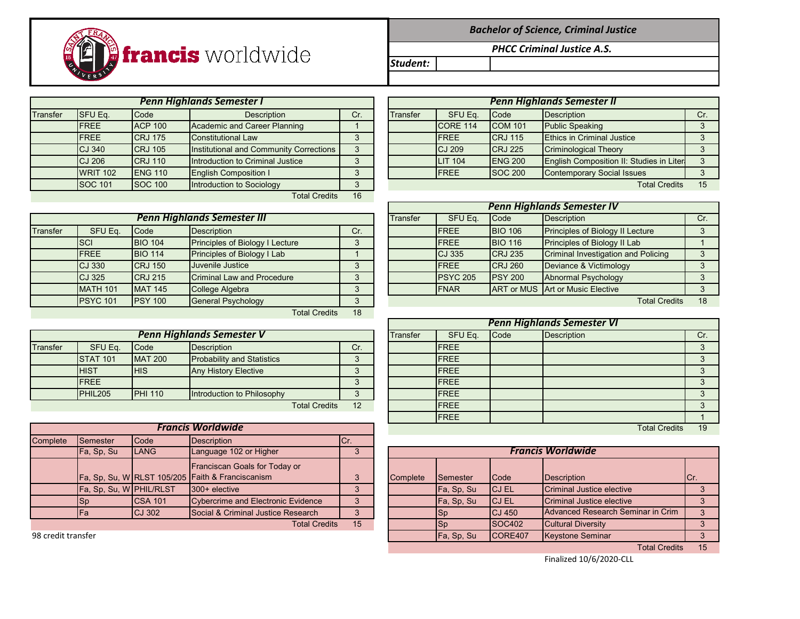

*Bachelor of Science, Criminal Justice*

*PHCC Criminal Justice A.S.* 

*Student:*

Transfer SFU Eq. |Code | Description | Cr. | Transfer | SFU Eq. |Code |Description | Cr. | Cr. FREE ACP 100 Academic and Career Planning 1 FREE CRJ 175 Constitutional Law 3 CJ 340 CRJ 105 |Institutional and Community Corrections | 3 CJ 206 CRJ 110 Introduction to Criminal Justice 3 WRIT 102 ENG 110 English Composition I 3 SOC 101 SOC 100 Introduction to Sociology 3 Total Credits 16 *Penn Highlands Semester I Penn Highlands Semester II*

Transfer SFU Eq. Code Description Cr. FREE BIO 106 Principles of Biology II Lecture 3 SCI BIO 104 Principles of Biology I Lecture 3 FREE BIO 114 Principles of Biology I Lab 1 CJ 325 CRJ 215 Criminal Law and Procedure 3 PSYC 101 PSY 100 General Psychology **CREDITS 18** 3 Total Credits 18 *Penn Highlands Semester III*

|          | <b>Penn Highlands Semester V</b> |                |                                   |     |  |  |              | <b>Code</b> | Description |  |  |
|----------|----------------------------------|----------------|-----------------------------------|-----|--|--|--------------|-------------|-------------|--|--|
| Transfer | SFU Eq.                          | Code           | Description                       | Cr. |  |  | <b>IFREE</b> |             |             |  |  |
|          | <b>STAT 101</b>                  | <b>MAT 200</b> | <b>Probability and Statistics</b> |     |  |  | <b>IFREE</b> |             |             |  |  |
|          | <b>IHIST</b>                     | <b>HIS</b>     | <b>Any History Elective</b>       |     |  |  | <b>IFREE</b> |             |             |  |  |
|          | <b>IFREE</b>                     |                |                                   |     |  |  | <b>IFREE</b> |             |             |  |  |
|          | PHIL <sub>205</sub>              | <b>PHI 110</b> | Introduction to Philosophy        |     |  |  | <b>IFREE</b> |             |             |  |  |
|          |                                  |                | <b>Total Credits</b>              | 12  |  |  | <b>IFREE</b> |             |             |  |  |

| <b>Francis Worldwide</b> |                         |                |                                                  |      |  |  |  |  |  |  |
|--------------------------|-------------------------|----------------|--------------------------------------------------|------|--|--|--|--|--|--|
| <b>Complete</b>          | Semester                | Code           | Description                                      | ICr. |  |  |  |  |  |  |
|                          | Fa, Sp, Su              | <b>LANG</b>    | Language 102 or Higher                           |      |  |  |  |  |  |  |
|                          |                         |                | Franciscan Goals for Today or                    |      |  |  |  |  |  |  |
|                          |                         |                | Fa, Sp, Su, W RLST 105/205 Faith & Franciscanism | 3    |  |  |  |  |  |  |
|                          | Fa, Sp, Su, W PHIL/RLST |                | 300+ elective                                    |      |  |  |  |  |  |  |
|                          | Sp                      | <b>CSA 101</b> | <b>Cybercrime and Electronic Evidence</b>        |      |  |  |  |  |  |  |
|                          | Fa                      | <b>CJ 302</b>  | Social & Criminal Justice Research               |      |  |  |  |  |  |  |
|                          |                         |                | <b>Total Credits</b>                             | 15   |  |  |  |  |  |  |

|          | <b>Penn Highlands Semester II</b> |                |                                          |     |  |  |  |  |  |
|----------|-----------------------------------|----------------|------------------------------------------|-----|--|--|--|--|--|
| Transfer | SFU Eq.                           | Code           | <b>Description</b>                       | Cr. |  |  |  |  |  |
|          | <b>CORE 114</b>                   | <b>COM 101</b> | <b>Public Speaking</b>                   |     |  |  |  |  |  |
|          | <b>FRFF</b>                       | <b>CRJ 115</b> | <b>Ethics in Criminal Justice</b>        |     |  |  |  |  |  |
|          | CJ 209                            | <b>CRJ 225</b> | <b>Criminological Theory</b>             |     |  |  |  |  |  |
|          | <b>LIT 104</b>                    | <b>ENG 200</b> | English Composition II: Studies in Liter | 3   |  |  |  |  |  |
|          | <b>FREE</b>                       | <b>SOC 200</b> | <b>Contemporary Social Issues</b>        |     |  |  |  |  |  |
|          |                                   |                | <b>Total Credits</b>                     | 15  |  |  |  |  |  |

|                 |                                    |                                 |         | <b>Penn Highlands Semester IV</b> |                    |                |                                         |    |  |  |  |  |
|-----------------|------------------------------------|---------------------------------|---------|-----------------------------------|--------------------|----------------|-----------------------------------------|----|--|--|--|--|
|                 | <b>Penn Highlands Semester III</b> | Transfer                        | SFU Eq. | <b>Code</b>                       | <b>Description</b> | Cr.            |                                         |    |  |  |  |  |
| SFU Eq.         | Code                               | <b>Description</b>              | Cr.     |                                   | <b>IFREE</b>       | <b>BIO 106</b> | Principles of Biology II Lecture        |    |  |  |  |  |
| <b>SCI</b>      | <b>BIO 104</b>                     | Principles of Biology I Lecture |         |                                   | <b>IFREE</b>       | <b>BIO 116</b> | Principles of Biology II Lab            |    |  |  |  |  |
| <b>FREE</b>     | <b>BIO 114</b>                     | Principles of Biology I Lab     |         |                                   | <b>CJ 335</b>      | <b>CRJ 235</b> | Criminal Investigation and Policing     |    |  |  |  |  |
| CJ 330          | <b>CRJ 150</b>                     | Juvenile Justice                |         |                                   | <b>IFREE</b>       | <b>CRJ 260</b> | Deviance & Victimology                  |    |  |  |  |  |
| CJ 325          | <b>CRJ 215</b>                     | Criminal Law and Procedure      | 3       |                                   | <b>PSYC 205</b>    | <b>PSY 200</b> | Abnormal Psychology                     |    |  |  |  |  |
| <b>MATH 101</b> | <b>MAT 145</b>                     | College Algebra                 |         |                                   | <b>IFNAR</b>       |                | <b>ART or MUS Art or Music Elective</b> |    |  |  |  |  |
| <b>PSYC 101</b> | <b>IPSY 100</b>                    | <b>General Psychology</b>       |         |                                   |                    |                | <b>Total Credits</b>                    | 18 |  |  |  |  |

|                 |                |                                   |     |          | <b>Penn Highlands Semester VI</b> |             |                      |     |  |  |  |  |
|-----------------|----------------|-----------------------------------|-----|----------|-----------------------------------|-------------|----------------------|-----|--|--|--|--|
|                 |                | <b>Penn Highlands Semester V</b>  |     | Transfer | SFU Eq.                           | <b>Code</b> | <b>Description</b>   | Cr. |  |  |  |  |
| SFU Eq.         | Code           | Description                       | Cr. |          | <b>FREE</b>                       |             |                      |     |  |  |  |  |
| <b>STAT 101</b> | <b>MAT 200</b> | <b>Probability and Statistics</b> | 3   |          | <b>FREE</b>                       |             |                      |     |  |  |  |  |
| <b>HIST</b>     | <b>HIS</b>     | <b>Any History Elective</b>       | ◠   |          | <b>FREE</b>                       |             |                      |     |  |  |  |  |
| <b>FREE</b>     |                |                                   |     |          | <b>FREE</b>                       |             |                      |     |  |  |  |  |
| <b>PHIL205</b>  | <b>PHI 110</b> | Introduction to Philosophy        |     |          | <b>IFREE</b>                      |             |                      |     |  |  |  |  |
|                 |                | <b>Total Credits</b>              | 12  |          | <b>IFREE</b>                      |             |                      |     |  |  |  |  |
|                 |                |                                   |     |          | <b>IFREE</b>                      |             |                      |     |  |  |  |  |
|                 |                | <b>Francis Worldwide</b>          |     |          |                                   |             | <b>Total Credits</b> | 19  |  |  |  |  |

|                    | Fa, Sp, Su              | <b>ILANG</b>   | Language 102 or Higher                                                                   |    |          |                 |               | <b>Francis Worldwide</b>          |               |
|--------------------|-------------------------|----------------|------------------------------------------------------------------------------------------|----|----------|-----------------|---------------|-----------------------------------|---------------|
|                    |                         |                | <b>Franciscan Goals for Today or</b><br>Fa, Sp, Su, W RLST 105/205 Faith & Franciscanism |    | Complete | <b>Semester</b> | <b>I</b> Code | Description                       | ICr.          |
|                    | Fa, Sp, Su, W PHIL/RLST |                | $300 +$ elective                                                                         |    |          | Fa, Sp, Su      | <b>ICJ EL</b> | Criminal Justice elective         |               |
|                    | ISp                     | <b>CSA 101</b> | Cybercrime and Electronic Evidence                                                       |    |          | Fa, Sp, Su      | <b>ICJ EL</b> | Criminal Justice elective         |               |
|                    | IFa                     | <b>ICJ 302</b> | Social & Criminal Justice Research                                                       |    |          | Sp              | $CJ$ 450      | Advanced Research Seminar in Crim |               |
|                    |                         |                | <b>Total Credits</b>                                                                     | 15 |          | Sp              | <b>SOC402</b> | Cultural Diversity                |               |
| 98 credit transfer |                         |                |                                                                                          |    |          | Fa, Sp, Su      | ICORE407      | Keystone Seminar                  |               |
|                    |                         |                |                                                                                          |    |          |                 |               | $\tau$ . $\sim$ $\sim$ $\sim$     | $\rightarrow$ |

Finalized 10/6/2020-CLL

Total Credits 15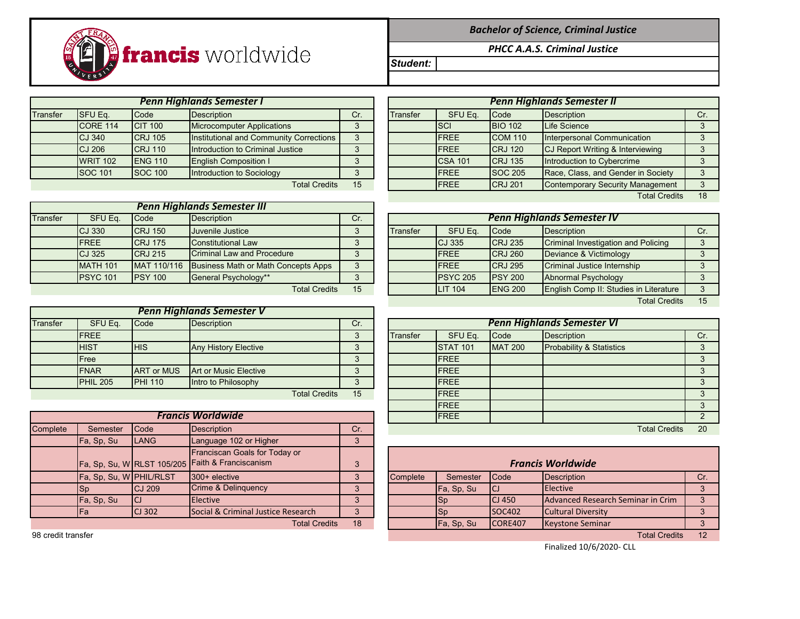*Bachelor of Science, Criminal Justice*

*PHCC A.A.S. Criminal Justice*

*Student:*

Transfer SFU Eq. |Code |Description | Cr. | Transfer | SFU Eq. |Code |Description | Cr. CORE 114 CIT 100 Microcomputer Applications 3 CJ 340 CRJ 105 Institutional and Community Corrections 3 CJ 206 CRJ 110 Introduction to Criminal Justice 3 WRIT 102 ENG 110 English Composition I 3 SOC 101 SOC 100 Introduction to Sociology **FREE SOC 101** S *Penn Highlands Semester I Penn Highlands Semester II*

francis worldwide

| <b>Penn Highlands Semester III</b> |                 |                |                                            |     |  |  |  |  |  |  |
|------------------------------------|-----------------|----------------|--------------------------------------------|-----|--|--|--|--|--|--|
| Transfer                           | SFU Eq.         | Code           | <b>Description</b>                         | Cr. |  |  |  |  |  |  |
|                                    | <b>CJ 330</b>   | <b>CRJ 150</b> | Juvenile Justice                           |     |  |  |  |  |  |  |
|                                    | <b>FREE</b>     | <b>CRJ 175</b> | <b>Constitutional Law</b>                  |     |  |  |  |  |  |  |
|                                    | CJ 325          | <b>CRJ 215</b> | <b>Criminal Law and Procedure</b>          |     |  |  |  |  |  |  |
|                                    | <b>MATH 101</b> | MAT 110/116    | <b>Business Math or Math Concepts Apps</b> | 3   |  |  |  |  |  |  |
|                                    | <b>PSYC 101</b> | <b>PSY 100</b> | General Psychology**                       |     |  |  |  |  |  |  |
|                                    |                 |                | <b>Total Credits</b>                       | 15  |  |  |  |  |  |  |

| <b>Penn Highlands Semester V</b> |            |                                     |                              |  |  |  |  |  |
|----------------------------------|------------|-------------------------------------|------------------------------|--|--|--|--|--|
| SFU Eq.                          | Code       | <b>Description</b>                  | Cr.                          |  |  |  |  |  |
| <b>FREE</b>                      |            |                                     |                              |  |  |  |  |  |
| <b>HIST</b>                      | <b>HIS</b> | <b>Any History Elective</b>         |                              |  |  |  |  |  |
| Free                             |            |                                     |                              |  |  |  |  |  |
| <b>FNAR</b>                      |            |                                     |                              |  |  |  |  |  |
| <b>PHIL 205</b>                  |            | Intro to Philosophy                 |                              |  |  |  |  |  |
|                                  |            | <b>ART or MUS</b><br><b>PHI 110</b> | <b>Art or Music Elective</b> |  |  |  |  |  |

|  | TUM Cledits |  |
|--|-------------|--|
|  |             |  |
|  |             |  |
|  |             |  |

|          | <b>Francis Worldwide</b> |               |                                                                                   |     |  |          | <b>IFREE</b> |                |                                   |    |
|----------|--------------------------|---------------|-----------------------------------------------------------------------------------|-----|--|----------|--------------|----------------|-----------------------------------|----|
| Complete | Semester                 | <b>Code</b>   | Description                                                                       | Cr. |  |          |              |                | <b>Total Credits</b>              | 20 |
|          | Fa, Sp, Su               | <b>LANG</b>   | Language 102 or Higher                                                            |     |  |          |              |                |                                   |    |
|          |                          |               | Franciscan Goals for Today or<br>Fa, Sp, Su, W RLST 105/205 Faith & Franciscanism | 3   |  |          |              |                | <b>Francis Worldwide</b>          |    |
|          | Fa, Sp, Su, W PHIL/RLST  |               | 300+ elective                                                                     |     |  | Complete | Semester     | <b>Code</b>    | Description                       | Cr |
|          | ISp                      | CJ209         | <b>Crime &amp; Delinquency</b>                                                    |     |  |          | Fa, Sp, Su   | <b>ICJ</b>     | Elective                          |    |
|          | Fa, Sp, Su               |               | <b>Elective</b>                                                                   |     |  |          | <b>Sp</b>    | <b>ICJ 450</b> | Advanced Research Seminar in Crim |    |
|          | IFa                      | <b>CJ 302</b> | Social & Criminal Justice Research                                                |     |  |          | lSp          | <b>SOC402</b>  | <b>Cultural Diversity</b>         |    |
|          |                          |               | <b>Total Credits</b>                                                              | 18  |  |          | Fa, Sp, Su   | CORE407        | Keystone Seminar                  |    |

98 credit transfer Total Credits 12

|                      |     |                 |                |                | <b>Penn Highlands Semester II</b>       |     |
|----------------------|-----|-----------------|----------------|----------------|-----------------------------------------|-----|
|                      | Cr. | <b>Transfer</b> | SFU Eq.        | Code           | <b>Description</b>                      | Cr. |
|                      | 3   |                 | <b>SCI</b>     | <b>BIO 102</b> | Life Science                            |     |
| Corrections          | 3   |                 | <b>IFREE</b>   | <b>COM 110</b> | Interpersonal Communication             |     |
| ice                  | 3   |                 | <b>FREE</b>    | <b>CRJ 120</b> | CJ Report Writing & Interviewing        |     |
|                      | 3   |                 | <b>CSA 101</b> | <b>CRJ 135</b> | Introduction to Cybercrime              |     |
|                      |     |                 | <b>FREE</b>    | <b>SOC 205</b> | Race, Class, and Gender in Society      |     |
| <b>Total Credits</b> | 15  |                 | <b>IFREE</b>   | <b>CRJ 201</b> | <b>Contemporary Security Management</b> |     |
|                      |     |                 |                |                | <b>Total Credits</b>                    | 18  |

| SFU Eq.         | <b>Code</b>     | <b>Description</b>                  | Cr. | <b>Penn Highlands Semester IV</b> |                |                 |                                        |     |  |  |  |  |
|-----------------|-----------------|-------------------------------------|-----|-----------------------------------|----------------|-----------------|----------------------------------------|-----|--|--|--|--|
| CJ 330          | <b>CRJ 150</b>  | Juvenile Justice                    | 3   | Transfer                          | SFU Eq.        | Code            | <b>Description</b>                     | Cr. |  |  |  |  |
| <b>FREE</b>     | <b>CRJ 175</b>  | <b>Constitutional Law</b>           | 3   |                                   | <b>CJ 335</b>  | <b>CRJ 235</b>  | Criminal Investigation and Policing    |     |  |  |  |  |
| CJ 325          | <b>CRJ 215</b>  | Criminal Law and Procedure          | 3   |                                   | <b>FREE</b>    | <b>CRJ 260</b>  | Deviance & Victimology                 |     |  |  |  |  |
| <b>MATH 101</b> | MAT 110/116     | Business Math or Math Concepts Apps | 3   |                                   | <b>IFREE</b>   | <b>CRJ 295</b>  | Criminal Justice Internship            |     |  |  |  |  |
| <b>PSYC 101</b> | <b>IPSY 100</b> | General Psychology**                | 3   |                                   | PSYC 205       | <b>PSY 200</b>  | Abnormal Psychology                    |     |  |  |  |  |
|                 |                 | <b>Total Credits</b>                | 15  |                                   | <b>LIT 104</b> | <b>IENG 200</b> | English Comp II: Studies in Literature |     |  |  |  |  |
|                 |                 |                                     |     |                                   |                |                 | <b>Total Credits</b>                   | 15  |  |  |  |  |

| SFU Eq.                  | Code              | <b>Description</b>          | Cr. | <b>Penn Highlands Semester VI</b> |                 |                 |                |                                     |     |  |  |  |
|--------------------------|-------------------|-----------------------------|-----|-----------------------------------|-----------------|-----------------|----------------|-------------------------------------|-----|--|--|--|
| <b>FREE</b>              |                   |                             | 3   |                                   | <b>Transfer</b> | SFU Eq.         | Code           | <b>Description</b>                  | Cr. |  |  |  |
| <b>HIST</b>              | <b>HIS</b>        | <b>Any History Elective</b> | ◠   |                                   |                 | <b>STAT 101</b> | <b>MAT 200</b> | <b>Probability &amp; Statistics</b> |     |  |  |  |
| Free                     |                   |                             | 3   |                                   |                 | <b>IFREE</b>    |                |                                     |     |  |  |  |
| <b>FNAR</b>              | <b>ART or MUS</b> | Art or Music Elective       | 3   |                                   |                 | <b>IFREE</b>    |                |                                     |     |  |  |  |
| <b>PHIL 205</b>          | <b>PHI 110</b>    | Intro to Philosophy         |     |                                   |                 | <b>IFREE</b>    |                |                                     |     |  |  |  |
|                          |                   | <b>Total Credits</b>        | 15  |                                   |                 | <b>FREE</b>     |                |                                     |     |  |  |  |
|                          |                   |                             |     |                                   |                 | <b>IFREE</b>    |                |                                     |     |  |  |  |
| <b>Francis Worldwide</b> |                   |                             |     |                                   |                 | <b>IFREE</b>    |                |                                     |     |  |  |  |
| Semester Code            |                   | <b>Description</b>          | Cr  |                                   |                 |                 |                | <b>Total Credite</b>                | 20  |  |  |  |

|                         |                | Franciscan Goals for Today or                    |    |          |            |               |                                   |     |
|-------------------------|----------------|--------------------------------------------------|----|----------|------------|---------------|-----------------------------------|-----|
|                         |                | Fa, Sp, Su, W RLST 105/205 Faith & Franciscanism | 3  |          |            |               | <b>Francis Worldwide</b>          |     |
| Fa, Sp, Su, W PHIL/RLST |                | $1300 +$ elective                                |    | Complete | Semester   | <b>Code</b>   | <b>IDescription</b>               | Cr. |
| Sp                      | <b>ICJ 209</b> | <b>Crime &amp; Delinguency</b>                   |    |          | Fa, Sp, Su | <b>ICJ</b>    | <b>IElective</b>                  |     |
| Fa, Sp, Su              | ICJ            | <b>Elective</b>                                  | ν  |          | 150        | <b>CJ 450</b> | Advanced Research Seminar in Crim |     |
| Fa                      | <b>ICJ 302</b> | <b>Social &amp; Criminal Justice Research</b>    | ν  |          | ISp        | <b>SOC402</b> | <b>Cultural Diversity</b>         |     |
|                         |                | <b>Total Credits</b>                             | 18 |          | Fa, Sp, Su | ICORE407      | <b>Keystone Seminar</b>           |     |
|                         |                |                                                  |    |          |            |               |                                   |     |

Finalized 10/6/2020- CLL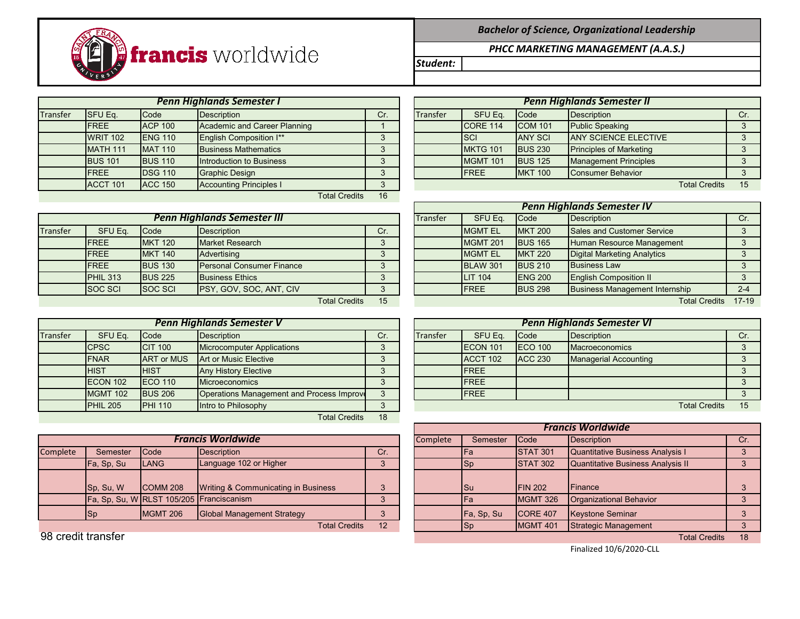

|          | <b>Penn Highlands Semester I</b> |                 |                                |     |  |          |                 |                | <b>Penn Highlands Semester II</b> |     |
|----------|----------------------------------|-----------------|--------------------------------|-----|--|----------|-----------------|----------------|-----------------------------------|-----|
| Transfer | <b>SFU Eq.</b>                   | Code            | Description                    | Cr. |  | Transfer | SFU Eq.         | Code           | Description                       | Cr. |
|          | <b>FREE</b>                      | <b>ACP 100</b>  | Academic and Career Planning   |     |  |          | ICORE 114       | <b>COM 101</b> | <b>Public Speaking</b>            |     |
|          | <b>WRIT 102</b>                  | <b>IENG 110</b> | <b>English Composition I**</b> |     |  |          | <b>ISCI</b>     | <b>ANY SCI</b> | <b>JANY SCIENCE ELECTIVE</b>      |     |
|          | <b>MATH 111</b>                  | <b>MAT 110</b>  | <b>Business Mathematics</b>    |     |  |          | MKTG 101        | <b>BUS 230</b> | <b>Principles of Marketing</b>    |     |
|          | <b>BUS 101</b>                   | <b>BUS 110</b>  | Introduction to Business       | ∘   |  |          | <b>MGMT 101</b> | <b>BUS 125</b> | <b>Management Principles</b>      |     |
|          | <b>FREE</b>                      | <b>IDSG 110</b> | Graphic Design                 |     |  |          | <b>IFREE</b>    | <b>MKT 100</b> | Consumer Behavior                 |     |
|          | ACCT 101                         | <b>ACC 150</b>  | <b>Accounting Principles I</b> | 3   |  |          |                 |                | <b>Total Credits</b>              | 15  |
|          |                                  |                 | <b>Total Credits</b>           | 16  |  |          |                 |                |                                   |     |

|          | <b>Penn Highlands Semester III</b> |                |                                  |                      |     |  | Transfer | SFU Eq.          | <b>Code</b>    | Description                           |       |
|----------|------------------------------------|----------------|----------------------------------|----------------------|-----|--|----------|------------------|----------------|---------------------------------------|-------|
| Transfer | SFU Eq.                            | Code           | Description                      |                      | Cr. |  |          | <b>IMGMT EL</b>  | <b>MKT 200</b> | <b>Sales and Customer Service</b>     |       |
|          | <b>IFREE</b>                       | <b>MKT 120</b> | <b>Market Research</b>           |                      |     |  |          | <b>IMGMT 201</b> | <b>BUS 165</b> | Human Resource Management             |       |
|          | <b>IFREE</b>                       | <b>MKT 140</b> | Advertising                      |                      |     |  |          | <b>MGMT EL</b>   | <b>MKT 220</b> | Digital Marketing Analytics           |       |
|          | <b>IFREE</b>                       | <b>BUS 130</b> | <b>Personal Consumer Finance</b> |                      |     |  |          | <b>BLAW 301</b>  | <b>BUS 210</b> | <b>Business Law</b>                   |       |
|          | <b>PHIL 313</b>                    | <b>BUS 225</b> | <b>Business Ethics</b>           |                      |     |  |          | <b>LIT 104</b>   | <b>ENG 200</b> | <b>English Composition II</b>         |       |
|          | <b>SOC SCI</b>                     | <b>SOC SCI</b> | <b>PSY, GOV, SOC, ANT, CIV</b>   |                      |     |  |          | <b>IFREE</b>     | <b>BUS 298</b> | <b>Business Management Internship</b> | $2 -$ |
|          |                                    |                |                                  | <b>Total Credits</b> | 15  |  |          |                  |                | Total Credits 17-                     |       |

|                 | <b>Penn Highlands Semester V</b> |                   |                                                  |     |  |          |                  |                 | <b>Penn Highlands Semester VI</b> |                      |     |
|-----------------|----------------------------------|-------------------|--------------------------------------------------|-----|--|----------|------------------|-----------------|-----------------------------------|----------------------|-----|
| <b>Transfer</b> | SFU Eq.                          | <b>Code</b>       | Description                                      | Cr. |  | Transfer | SFU Eq.          | <b>Code</b>     | Description                       |                      | Cr. |
|                 | <b>CPSC</b>                      | <b>CIT 100</b>    | Microcomputer Applications                       |     |  |          | <b>IECON 101</b> | <b>IECO 100</b> | <b>Macroeconomics</b>             |                      |     |
|                 | <b>FNAR</b>                      | <b>ART or MUS</b> | <b>Art or Music Elective</b>                     |     |  |          | <b>ACCT 102</b>  | <b>ACC 230</b>  | <b>Managerial Accounting</b>      |                      |     |
|                 | <b>HIST</b>                      | <b>HIST</b>       | <b>Any History Elective</b>                      |     |  |          | <b>FREE</b>      |                 |                                   |                      |     |
|                 | ECON 102                         | <b>IECO 110</b>   | <b>Microeconomics</b>                            |     |  |          | <b>FREE</b>      |                 |                                   |                      |     |
|                 | <b>MGMT 102</b>                  | <b>BUS 206</b>    | <b>Operations Management and Process Improve</b> |     |  |          | <b>IFREE</b>     |                 |                                   |                      |     |
|                 | PHIL <sub>205</sub>              | <b>PHI 110</b>    | Intro to Philosophy                              |     |  |          |                  |                 |                                   | <b>Total Credits</b> | 15  |
|                 |                                  |                   | <b>Total Credits</b>                             | 18  |  |          |                  |                 |                                   |                      |     |

|          | <b>Francis Worldwide</b> |                 |                                          |            | Complete | Semester   | <b>Code</b>      | Description                              |  |
|----------|--------------------------|-----------------|------------------------------------------|------------|----------|------------|------------------|------------------------------------------|--|
| Complete | Semester                 | <b>Code</b>     | Description                              | Cr.        |          | lFa        | <b>STAT 301</b>  | Quantitative Business Analysis I         |  |
|          | Fa, Sp, Su               | <b>ILANG</b>    | Language 102 or Higher                   |            |          | ISp        | <b>STAT 302</b>  | <b>Quantitative Business Analysis II</b> |  |
|          |                          |                 |                                          |            |          |            |                  |                                          |  |
|          | Sp, Su, W                | COMM 208        | Writing & Communicating in Business      |            |          | lSu        | <b>FIN 202</b>   | <b>IFinance</b>                          |  |
|          |                          |                 | Fa, Sp, Su, W RLST 105/205 Franciscanism |            |          |            | <b>MGMT 326</b>  | <b>Organizational Behavior</b>           |  |
|          | $ $ Sp                   | <b>MGMT 206</b> | <b>Global Management Strategy</b>        |            |          | Fa, Sp, Su | <b>ICORE 407</b> | <b>Keystone Seminar</b>                  |  |
|          |                          |                 | $T = 1 - 1$ $Q_{\text{max}}$ and $T = 1$ | $\sqrt{2}$ |          | $\sim$     | 1.10147.404      | $\bigcap_{i=1}^{n}$                      |  |

*Bachelor of Science, Organizational Leadership*

*PHCC MARKETING MANAGEMENT (A.A.S.)*

*Student:*

|                 |                | <b>Penn Highlands Semester I</b> |     |                 |                 |                | <b>Penn Highlands Semester II</b> |                      |     |  |
|-----------------|----------------|----------------------------------|-----|-----------------|-----------------|----------------|-----------------------------------|----------------------|-----|--|
| SFU Eq.         | Code           | Description                      | Cr. | <b>Transfer</b> | SFU Eq.         | <b>Code</b>    | Description                       |                      | Cr. |  |
| <b>FREE</b>     | <b>ACP 100</b> | Academic and Career Planning     |     |                 | CORE 114        | <b>COM 101</b> | <b>Public Speaking</b>            |                      |     |  |
| <b>WRIT 102</b> | <b>ENG 110</b> | English Composition I**          |     |                 | <b>ISCI</b>     | <b>ANY SCI</b> | <b>JANY SCIENCE ELECTIVE</b>      |                      |     |  |
| <b>MATH 111</b> | <b>MAT 110</b> | <b>Business Mathematics</b>      |     |                 | <b>MKTG 101</b> | <b>BUS 230</b> | <b>Principles of Marketing</b>    |                      |     |  |
| <b>BUS 101</b>  | <b>BUS 110</b> | Introduction to Business         |     |                 | MGMT 101        | <b>BUS 125</b> | <b>Management Principles</b>      |                      |     |  |
| <b>FREE</b>     | <b>DSG 110</b> | <b>Graphic Design</b>            |     |                 | <b>IFREE</b>    | <b>MKT 100</b> | Consumer Behavior                 |                      |     |  |
| ACCT 101        | <b>ACC 150</b> | <b>Accounting Principles I</b>   |     |                 |                 |                |                                   | <b>Total Credits</b> | 15  |  |

|                                                             |                      |                                    |     |  |          |                 |                | <b>Penn Highlands Semester IV</b>     |           |
|-------------------------------------------------------------|----------------------|------------------------------------|-----|--|----------|-----------------|----------------|---------------------------------------|-----------|
|                                                             |                      | <b>Penn Highlands Semester III</b> |     |  | Transfer | SFU Eq.         | <b>Code</b>    | Description                           | Cr.       |
| SFU Eq.                                                     | Code                 | <b>Description</b>                 | Cr. |  |          | <b>MGMT EL</b>  | <b>MKT 200</b> | Sales and Customer Service            |           |
| <b>FREE</b>                                                 | <b>MKT 120</b>       | <b>Market Research</b>             |     |  |          | MGMT 201        | <b>BUS 165</b> | Human Resource Management             |           |
| <b>FREE</b><br><b>MKT 140</b><br>Advertising                |                      |                                    |     |  |          | <b>MGMT EL</b>  | <b>MKT 220</b> | <b>Digital Marketing Analytics</b>    |           |
| <b>FREE</b>                                                 | <b>BUS 130</b>       | <b>Personal Consumer Finance</b>   |     |  |          | <b>BLAW 301</b> | <b>BUS 210</b> | <b>Business Law</b>                   |           |
| <b>PHIL 313</b>                                             | <b>BUS 225</b>       | <b>Business Ethics</b>             |     |  |          | <b>LIT 104</b>  | <b>ENG 200</b> | <b>English Composition II</b>         |           |
| SOC SCI<br><b>SOC SCI</b><br><b>PSY, GOV, SOC, ANT, CIV</b> |                      |                                    |     |  |          | <b>IFREE</b>    | <b>BUS 298</b> | <b>Business Management Internship</b> | $2 - 4$   |
|                                                             | <b>Total Credits</b> |                                    |     |  |          |                 |                | <b>Total Credits</b>                  | $17 - 19$ |

|                 | <b>Penn Highlands Semester V</b> |                                           |     |  |                 |                  |                | <b>Penn Highlands Semester VI</b> |                      |  |
|-----------------|----------------------------------|-------------------------------------------|-----|--|-----------------|------------------|----------------|-----------------------------------|----------------------|--|
| SFU Eq.         | Code                             | <b>Description</b>                        | Cr. |  | <b>Transfer</b> | SFU Eq.          | <b>Code</b>    | Description                       |                      |  |
| <b>CPSC</b>     | <b>CIT 100</b>                   | Microcomputer Applications                |     |  |                 | <b>IECON 101</b> | <b>ECO 100</b> | <b>IMacroeconomics</b>            |                      |  |
| <b>FNAR</b>     | <b>ART or MUS</b>                | Art or Music Elective                     |     |  |                 | <b>ACCT 102</b>  | <b>ACC 230</b> | <b>Managerial Accounting</b>      |                      |  |
| <b>HIST</b>     | <b>HIST</b>                      | <b>Any History Elective</b>               |     |  |                 | <b>IFREE</b>     |                |                                   |                      |  |
| <b>ECON 102</b> | <b>ECO</b> 110                   | Microeconomics                            |     |  |                 | <b>IFREE</b>     |                |                                   |                      |  |
| <b>MGMT 102</b> | <b>BUS 206</b>                   | Operations Management and Process Improve |     |  |                 | <b>IFREE</b>     |                |                                   |                      |  |
| <b>PHIL 205</b> | <b>PHI 110</b>                   | Intro to Philosophy                       |     |  |                 |                  |                |                                   | <b>Total Credits</b> |  |

|                    |            |                                          |                                     |     |          |            |                 | <b>Francis Worldwide</b>          |          |
|--------------------|------------|------------------------------------------|-------------------------------------|-----|----------|------------|-----------------|-----------------------------------|----------|
|                    |            |                                          | <b>Francis Worldwide</b>            |     | Complete | Semester   | <b>Code</b>     | Description                       | Cr       |
| Complete           | Semester   | <b>Code</b>                              | <b>Description</b>                  | Cr. |          | <b>IFa</b> | <b>STAT 301</b> | Quantitative Business Analysis I  | $\Omega$ |
|                    | Fa, Sp, Su | <b>LANG</b>                              | Language 102 or Higher              |     |          | $ $ Sp     | <b>STAT 302</b> | Quantitative Business Analysis II |          |
|                    |            |                                          |                                     |     |          |            |                 |                                   |          |
|                    | Sp, Su, W  | <b>COMM 208</b>                          | Writing & Communicating in Business |     |          | <b>Su</b>  | <b>FIN 202</b>  | <b>Finance</b>                    |          |
|                    |            | Fa, Sp, Su, W RLST 105/205 Franciscanism |                                     |     |          | <b>IFa</b> | <b>MGMT 326</b> | Organizational Behavior           |          |
|                    | <b>Sp</b>  | <b>MGMT 206</b>                          | <b>Global Management Strategy</b>   |     |          | Fa, Sp, Su | ICORE 407       | Keystone Seminar                  |          |
|                    |            |                                          | <b>Total Credits</b>                | 12  |          | Sp         | <b>MGMT 401</b> | Strategic Management              |          |
| 98 credit transfer |            |                                          |                                     |     |          |            |                 | <b>Total Credits</b>              | 18       |

Finalized 10/6/2020-CLL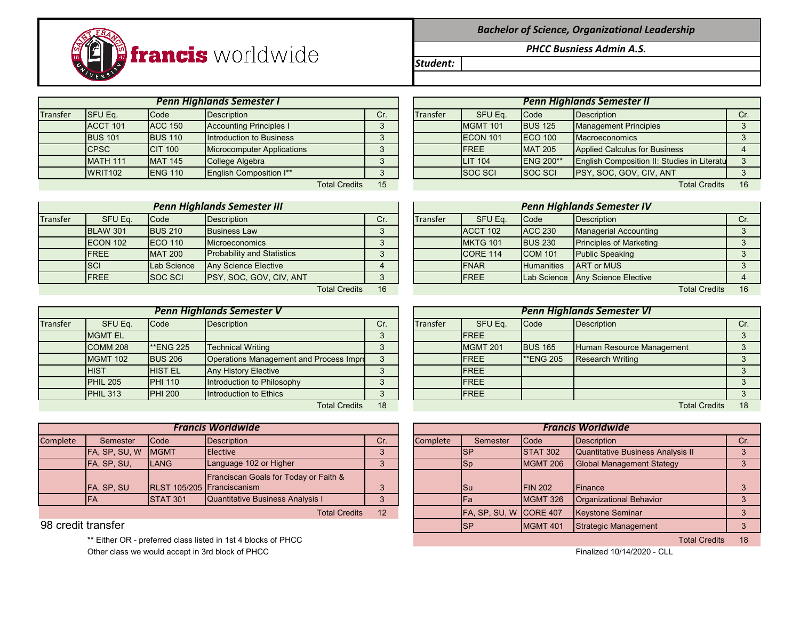

|  |  | <b>Bachelor of Science, Organizational Leadership</b> |  |  |
|--|--|-------------------------------------------------------|--|--|
|--|--|-------------------------------------------------------|--|--|

*PHCC Busniess Admin A.S.*

*Student:*

Transfer SFUEq. Code Description Cr. Cr. Transfer SFUEq. Code Description Cr. Cr. ACCT 101 ACC 150 Accounting Principles I 3 BUS 101 BUS 110 Introduction to Business **FCON 101** 3 CPSC CIT 100 Microcomputer Applications 3 WRIT102 ENG 110 English Composition I\*\* SOC SCI SOC SCI SOC SCI SOC SCI SOC SCI SOC *Penn Highlands Semester I Penn Highlands Semester II*

|          |                  |                | <b>Penn Highlands Semester III</b> |     |                 |              |                   | <b>Penn Highlands Semester IV</b> |      |
|----------|------------------|----------------|------------------------------------|-----|-----------------|--------------|-------------------|-----------------------------------|------|
| Transfer | SFU Eq.          | Code           | Description                        | Cr. | <b>Transfer</b> | SFU Eq.      | <b>Code</b>       | <b>Description</b>                | Cr.  |
|          | <b>BLAW 301</b>  | <b>BUS 210</b> | <b>Business Law</b>                |     |                 | ACCT 102     | <b>ACC 230</b>    | <b>Managerial Accounting</b>      |      |
|          | <b>IECON 102</b> | <b>ECO 110</b> | <b>Microeconomics</b>              |     |                 | MKTG 101     | <b>BUS 230</b>    | <b>Principles of Marketing</b>    |      |
|          | <b>IFREE</b>     | <b>MAT 200</b> | <b>Probability and Statistics</b>  |     |                 | ICORE 114    | <b>COM 101</b>    | <b>Public Speaking</b>            |      |
|          | <b>ISCI</b>      | Lab Science    | <b>Any Science Elective</b>        |     |                 | <b>FNAR</b>  | <b>Humanities</b> | <b>ART or MUS</b>                 |      |
|          | <b>IFREE</b>     | <b>SOC SCI</b> | <b>PSY, SOC, GOV, CIV, ANT</b>     |     |                 | <b>IFREE</b> |                   | Lab Science Any Science Elective  |      |
|          |                  |                | <b>Total Credits</b>               | 16  |                 |              |                   | <b>Total Credits</b>              | - 16 |

|          |                     |                  | <b>Penn Highlands Semester V</b>        |          |          |                 |                  | <b>Penn Highlands Semester VI</b> |     |
|----------|---------------------|------------------|-----------------------------------------|----------|----------|-----------------|------------------|-----------------------------------|-----|
| Transfer | SFU Eq.             | Code             | <b>Description</b>                      | Cr.      | Transfer | SFU Eq.         | <b>Code</b>      | <b>Description</b>                | Cr. |
|          | <b>MGMT EL</b>      |                  |                                         |          |          | <b>FREE</b>     |                  |                                   |     |
|          | COMM <sub>208</sub> | <b>**ENG 225</b> | <b>Technical Writing</b>                |          |          | <b>MGMT 201</b> | <b>BUS 165</b>   | Human Resource Management         |     |
|          | <b>MGMT 102</b>     | <b>BUS 206</b>   | Operations Management and Process Impro | $\Omega$ |          | <b>FREE</b>     | <b>**ENG 205</b> | <b>Research Writing</b>           |     |
|          | <b>HIST</b>         | <b>HIST EL</b>   | <b>Any History Elective</b>             | $\Omega$ |          | <b>FREE</b>     |                  |                                   |     |
|          | <b>PHIL 205</b>     | <b>PHI 110</b>   | Introduction to Philosophy              |          |          | <b>FREE</b>     |                  |                                   |     |
|          | <b>PHIL 313</b>     | <b>PHI 200</b>   | Introduction to Ethics                  |          |          | <b>FREE</b>     |                  |                                   |     |
|          |                     |                  | <b>Total Credits</b>                    | 18       |          |                 |                  | <b>Total Credits</b>              | 18  |

|          |                    |                  | Francis Worldwide                                |     |                 | <b>Francis Worldwide</b> |                 |                                   |     |
|----------|--------------------|------------------|--------------------------------------------------|-----|-----------------|--------------------------|-----------------|-----------------------------------|-----|
| Complete | Semester           | <b>ICode</b>     | Description                                      | Cr. | <b>Complete</b> | Semester                 | <b>Code</b>     | Description                       | Cr. |
|          | FA, SP, SU, W MGMT |                  | <b>Elective</b>                                  |     |                 |                          | <b>STAT 302</b> | Quantitative Business Analysis II |     |
|          | FA, SP, SU,        | <b>ILANG</b>     | Language 102 or Higher                           |     |                 |                          | MGMT 206        | <b>Global Management Stategy</b>  |     |
|          |                    |                  | <b>Franciscan Goals for Today or Faith &amp;</b> |     |                 |                          |                 |                                   |     |
|          | <b>IFA. SP. SU</b> |                  | RLST 105/205 Franciscanism                       |     |                 | <b>I</b> Su              | <b>IFIN 202</b> | Finance                           |     |
|          | <b>IFA</b>         | <b>ISTAT 301</b> | <b>Quantitative Business Analysis I</b>          |     |                 |                          | MGMT 326        | Organizational Behavior           |     |
|          |                    |                  |                                                  |     |                 |                          |                 |                                   |     |

\*\* Either OR - preferred class listed in 1st 4 blocks of PHCC **Total Credits 18** and the state of PHCC Total Credits 18 Other class we would accept in 3rd block of PHCC **Finalized 10/14/2020** - CLL

|                 |                | <b>Penn Highlands Semester I</b>  |        |          |                  |                   | <b>Penn Highlands Semester II</b>           |     |
|-----------------|----------------|-----------------------------------|--------|----------|------------------|-------------------|---------------------------------------------|-----|
| SFU Eq.         | Code           | Description                       | Cr.    | Transfer | SFU Eq.          | <b>Code</b>       | Description                                 | Cr. |
| <b>ACCT 101</b> | <b>ACC 150</b> | <b>Accounting Principles I</b>    | J      |          | <b>MGMT 101</b>  | <b>BUS 125</b>    | <b>Management Principles</b>                |     |
| <b>BUS 101</b>  | <b>BUS 110</b> | Introduction to Business          |        |          | <b>IECON 101</b> | <b>IECO 100</b>   | Macroeconomics                              |     |
| <b>CPSC</b>     | <b>CIT 100</b> | <b>Microcomputer Applications</b> | 2      |          | <b>IFREE</b>     | <b>MAT 205</b>    | Applied Calculus for Business               |     |
| <b>MATH 111</b> | <b>MAT 145</b> | College Algebra                   |        |          | <b>LIT 104</b>   | <b>IENG 200**</b> | English Composition II: Studies in Literatu |     |
| <b>WRIT102</b>  | <b>ENG 110</b> | <b>English Composition I**</b>    | ∘<br>J |          | <b>ISOC SCI</b>  | <b>SOC SCI</b>    | PSY, SOC, GOV, CIV, ANT                     |     |
|                 |                | <b>Total Credits</b>              | 15     |          |                  |                   | <b>Total Credits</b>                        | 16  |

|                 |                | <b>Penn Highlands Semester III</b> |          |          |                 |                   | Penn Highlands Semester IV       |                      |    |
|-----------------|----------------|------------------------------------|----------|----------|-----------------|-------------------|----------------------------------|----------------------|----|
| SFU Eq.         | Code           | Description                        | Cr.      | Transfer | SFU Eq.         | Code              | Description                      |                      |    |
| <b>BLAW 301</b> | <b>BUS 210</b> | <b>Business Law</b>                |          |          | ACCT 102        | <b>ACC 230</b>    | <b>Managerial Accounting</b>     |                      |    |
| <b>ECON 102</b> | <b>ECO 110</b> | <b>Microeconomics</b>              |          |          | MKTG 101        | <b>BUS 230</b>    | <b>Principles of Marketing</b>   |                      |    |
| <b>FREE</b>     | <b>MAT 200</b> | <b>Probability and Statistics</b>  | $\Omega$ |          | <b>CORE 114</b> | <b>COM 101</b>    | <b>Public Speaking</b>           |                      |    |
| <b>SCI</b>      | Lab Science    | <b>Any Science Elective</b>        |          |          | <b>FNAR</b>     | <b>Humanities</b> | <b>ART</b> or MUS                |                      |    |
| <b>FREE</b>     | <b>SOC SCI</b> | PSY, SOC, GOV, CIV, ANT            | 3        |          | <b>IFREE</b>    |                   | Lab Science Any Science Elective |                      |    |
|                 |                | <b>Total Credits</b>               | 16       |          |                 |                   |                                  | <b>Total Credits</b> | 16 |

|                 |                  | <b>Penn Highlands Semester V</b>               |          |          |             |                  | <b>Penn Highlands Semester VI</b> |    |
|-----------------|------------------|------------------------------------------------|----------|----------|-------------|------------------|-----------------------------------|----|
| SFU Eq.         | Code             | Description                                    | Cr.      | Transfer | SFU Eq.     | Code             | Description                       |    |
| <b>MGMT EL</b>  |                  |                                                |          |          | <b>FREE</b> |                  |                                   |    |
| <b>COMM 208</b> | <b>**ENG 225</b> | <b>Technical Writing</b>                       |          |          | MGMT 201    | <b>BUS 165</b>   | Human Resource Management         |    |
| <b>MGMT 102</b> | <b>BUS 206</b>   | <b>Operations Management and Process Impre</b> | $\Omega$ |          | <b>FREE</b> | <b>**ENG 205</b> | <b>Research Writing</b>           |    |
| <b>HIST</b>     | <b>HIST EL</b>   | <b>Any History Elective</b>                    | 3        |          | <b>FREE</b> |                  |                                   |    |
| <b>PHIL 205</b> | <b>PHI 110</b>   | Introduction to Philosophy                     | 3        |          | <b>FREE</b> |                  |                                   |    |
| <b>PHIL 313</b> | <b>PHI 200</b>   | Introduction to Ethics                         |          |          | <b>FREE</b> |                  |                                   |    |
|                 |                  | <b>Total Credits</b>                           | 18       |          |             |                  | <b>Total Credits</b>              | 18 |

|                    |               |                 | <b>Francis Worldwide</b>                |     |          |                        |                 | <b>Francis Worldwide</b>          |     |
|--------------------|---------------|-----------------|-----------------------------------------|-----|----------|------------------------|-----------------|-----------------------------------|-----|
| Complete           | Semester      | <b>Code</b>     | Description                             | Cr. | Complete | Semester               | <b>Code</b>     | Description                       | Cr. |
|                    | FA, SP, SU, W | <b>MGMT</b>     | Elective                                |     |          | <b>ISP</b>             | <b>STAT 302</b> | Quantitative Business Analysis II |     |
|                    | FA, SP, SU,   | <b>LANG</b>     | Language 102 or Higher                  |     |          | Sp                     | <b>MGMT 206</b> | <b>Global Management Stategy</b>  |     |
|                    |               |                 | Franciscan Goals for Today or Faith &   |     |          |                        |                 |                                   |     |
|                    | FA, SP, SU    |                 | RLST 105/205 Franciscanism              |     |          | <b>I</b> Su            | <b>FIN 202</b>  | <b>IFinance</b>                   |     |
|                    | <b>IFA</b>    | <b>STAT 301</b> | <b>Quantitative Business Analysis I</b> |     |          | lFa                    | <b>MGMT 326</b> | Organizational Behavior           |     |
|                    |               |                 | <b>Total Credits</b>                    | 12  |          | FA, SP, SU, W CORE 407 |                 | <b>Keystone Seminar</b>           |     |
| 98 credit transfer |               |                 |                                         |     |          | ISP                    | MGMT 401        | Strategic Management              |     |
|                    |               |                 |                                         |     |          |                        |                 |                                   |     |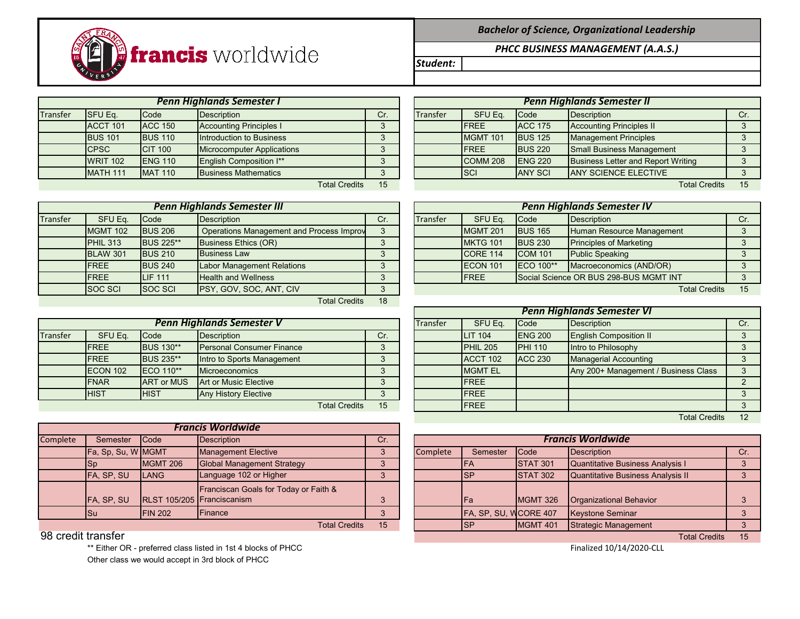

|          |                 |                | <b>Penn Highlands Semester I</b> |                      |          |          | <b>Penn Highlands Semester II</b> |                 |                                    |     |
|----------|-----------------|----------------|----------------------------------|----------------------|----------|----------|-----------------------------------|-----------------|------------------------------------|-----|
| Transfer | <b>SFU Eq.</b>  | Code           | Description                      |                      | Cr.      | Transfer | SFU Eq.                           | <b>Code</b>     | Description                        | Cr. |
|          | ACCT 101        | <b>ACC 150</b> | <b>Accounting Principles I</b>   |                      | $\Omega$ |          | <b>FREE</b>                       | <b>ACC 175</b>  | <b>Accounting Principles II</b>    |     |
|          | <b>BUS 101</b>  | <b>BUS 110</b> | Introduction to Business         |                      | ◠        |          | MGMT 101                          | <b>BUS 125</b>  | <b>Management Principles</b>       |     |
|          | <b>CPSC</b>     | <b>CIT 100</b> | Microcomputer Applications       |                      |          |          | <b>FREE</b>                       | <b>BUS 220</b>  | <b>Small Business Management</b>   |     |
|          | <b>WRIT 102</b> | <b>ENG 110</b> | English Composition I**          |                      |          |          | COMM <sub>208</sub>               | <b>IENG 220</b> | Business Letter and Report Writing |     |
|          | MATH 111        | <b>MAT 110</b> | <b>Business Mathematics</b>      |                      |          |          | <b>ISCI</b>                       | <b>ANY SCI</b>  | <b>JANY SCIENCE ELECTIVE</b>       |     |
|          |                 |                |                                  | <b>Total Credits</b> | 15       |          |                                   |                 | <b>Total Credits</b>               | 15  |

|          | <b>Penn Highlands Semester III</b> |                  |                                          |     |          |                 |                  | <b>Penn Highlands Semester IV</b>      |     |
|----------|------------------------------------|------------------|------------------------------------------|-----|----------|-----------------|------------------|----------------------------------------|-----|
| Transfer | SFU Eq.                            | <b>Code</b>      | <b>Description</b>                       | Cr. | Transfer | SFU Eq.         | Code             | Description                            | Cr. |
|          | <b>MGMT 102</b>                    | <b>BUS 206</b>   | Operations Management and Process Improv | 3   |          | MGMT 201        | <b>BUS 165</b>   | Human Resource Management              |     |
|          | <b>PHIL 313</b>                    | <b>BUS 225**</b> | Business Ethics (OR)                     |     |          | <b>MKTG 101</b> | <b>BUS 230</b>   | <b>Principles of Marketing</b>         |     |
|          | <b>BLAW 301</b>                    | <b>BUS 210</b>   | <b>Business Law</b>                      |     |          | CORE 114        | <b>COM 101</b>   | <b>Public Speaking</b>                 |     |
|          | <b>FREE</b>                        | <b>BUS 240</b>   | <b>Labor Management Relations</b>        |     |          | ECON 101        | <b>ECO</b> 100** | Macroeconomics (AND/OR)                |     |
|          | <b>FREE</b>                        | <b>LIF 111</b>   | <b>Health and Wellness</b>               |     |          | <b>IFREE</b>    |                  | Social Science OR BUS 298-BUS MGMT INT | 3   |
|          | <b>SOC SCI</b>                     | <b>SOC SCI</b>   | <b>PSY, GOV, SOC, ANT, CIV</b>           | 3   |          |                 |                  | <b>Total Credits</b>                   | 15  |
|          |                                    |                  | <b>Total Credits</b>                     | 18  |          |                 |                  |                                        |     |

|          |              |                   | <b>Penn Highlands Semester V</b> |     |  | <b>Transfer</b> | SFU Eq.             | Code            | Description                          |  |
|----------|--------------|-------------------|----------------------------------|-----|--|-----------------|---------------------|-----------------|--------------------------------------|--|
| Transfer | SFU Eq.      | Code              | Description                      | Cr. |  |                 | <b>LIT 104</b>      | <b>IENG 200</b> | <b>English Composition II</b>        |  |
|          | <b>IFREE</b> | <b>BUS 130**</b>  | <b>Personal Consumer Finance</b> |     |  |                 | PHIL <sub>205</sub> | <b>PHI 110</b>  | Intro to Philosophy                  |  |
|          | <b>IFREE</b> | <b>BUS 235**</b>  | Intro to Sports Management       |     |  |                 | ACCT 102            | <b>ACC 230</b>  | <b>Managerial Accounting</b>         |  |
|          | ECON 102     | <b>IECO</b> 110** | <b>Microeconomics</b>            |     |  |                 | <b>MGMT EL</b>      |                 | Any 200+ Management / Business Class |  |
|          | <b>IFNAR</b> | <b>ART or MUS</b> | Art or Music Elective            |     |  |                 | <b>IFREE</b>        |                 |                                      |  |
|          | <b>HIST</b>  | <b>HIST</b>       | <b>Any History Elective</b>      |     |  |                 | <b>IFREE</b>        |                 |                                      |  |
|          |              |                   | <b>Total Credits</b>             | 15  |  |                 | <b>IFREE</b>        |                 |                                      |  |

|          |                    |                            | <b>Francis Worldwide</b>              |     |
|----------|--------------------|----------------------------|---------------------------------------|-----|
| Complete | Semester           | <b>Code</b>                | <b>Description</b>                    | Cr. |
|          | Fa, Sp, Su, W MGMT |                            | <b>Management Elective</b>            | 3   |
|          | <b>Sp</b>          | <b>MGMT 206</b>            | <b>Global Management Strategy</b>     | 3   |
|          | FA, SP, SU         | <b>LANG</b>                | Language 102 or Higher                |     |
|          |                    |                            | Franciscan Goals for Today or Faith & |     |
|          | FA, SP, SU         | RLST 105/205 Franciscanism |                                       | 3   |
|          | Su                 | <b>FIN 202</b>             | Finance                               |     |

\*\* Either OR - preferred class listed in 1st 4 blocks of PHCC Other class we would accept in 3rd block of PHCC

## *PHCC BUSINESS MANAGEMENT (A.A.S.)*

*Student:*

|                 |                | <b>Penn Highlands Semester I</b> |     | <b>Penn Highlands Semester II</b> |                     |                |                                           |     |  |  |
|-----------------|----------------|----------------------------------|-----|-----------------------------------|---------------------|----------------|-------------------------------------------|-----|--|--|
| SFU Eq.         | Code           | Description                      | Cr. | <b>Transfer</b>                   | SFU Eq.             | <b>Code</b>    | Description                               | Cr. |  |  |
| <b>ACCT 101</b> | <b>ACC 150</b> | <b>Accounting Principles I</b>   |     |                                   | <b>IFREE</b>        | <b>ACC 175</b> | <b>Accounting Principles II</b>           |     |  |  |
| <b>BUS 101</b>  | <b>BUS 110</b> | Introduction to Business         |     |                                   | <b>MGMT 101</b>     | <b>BUS 125</b> | <b>Management Principles</b>              |     |  |  |
| <b>CPSC</b>     | <b>CIT 100</b> | Microcomputer Applications       |     |                                   | <b>IFREE</b>        | <b>BUS 220</b> | Small Business Management                 |     |  |  |
| <b>WRIT 102</b> | <b>ENG 110</b> | English Composition I**          |     |                                   | COMM <sub>208</sub> | <b>ENG 220</b> | <b>Business Letter and Report Writing</b> |     |  |  |
| <b>MATH 111</b> | <b>MAT 110</b> | <b>Business Mathematics</b>      |     |                                   | <b>SCI</b>          | <b>ANY SCI</b> | <b>ANY SCIENCE ELECTIVE</b>               |     |  |  |
|                 |                | <b>Total Credits</b>             | 15  |                                   |                     |                | <b>Total Credits</b>                      | 15  |  |  |

|                 |                  | Penn Highlands Semester III                     |     |                 | Penn Highlands Semester IV |                   |                                        |  |  |  |  |
|-----------------|------------------|-------------------------------------------------|-----|-----------------|----------------------------|-------------------|----------------------------------------|--|--|--|--|
| SFU Eq.         | <b>Code</b>      | Description                                     | Cr. | <b>Transfer</b> | SFU Eq.                    | <b>Code</b>       | Description                            |  |  |  |  |
| <b>MGMT 102</b> | <b>BUS 206</b>   | <b>Operations Management and Process Improv</b> |     |                 | MGMT 201                   | <b>BUS 165</b>    | Human Resource Management              |  |  |  |  |
| <b>PHIL 313</b> | <b>BUS 225**</b> | Business Ethics (OR)                            |     |                 | MKTG 101                   | <b>BUS 230</b>    | <b>Principles of Marketing</b>         |  |  |  |  |
| <b>BLAW 301</b> | <b>BUS 210</b>   | <b>Business Law</b>                             |     |                 | CORE 114                   | <b>COM 101</b>    | <b>Public Speaking</b>                 |  |  |  |  |
| <b>FREE</b>     | <b>BUS 240</b>   | <b>Labor Management Relations</b>               |     |                 | <b>IECON 101</b>           | <b>IECO 100**</b> | Macroeconomics (AND/OR)                |  |  |  |  |
| <b>FREE</b>     | <b>LIF 111</b>   | <b>Health and Wellness</b>                      |     |                 | <b>IFREE</b>               |                   | Social Science OR BUS 298-BUS MGMT INT |  |  |  |  |
| SOC SCI         | <b>SOC SCI</b>   | <b>IPSY, GOV, SOC, ANT, CIV</b>                 |     |                 |                            |                   | <b>Total Credits</b>                   |  |  |  |  |

|                 |                   |                                  |     |          | <b>Penn Highlands Semester VI</b> |                 |                                      |     |  |  |  |
|-----------------|-------------------|----------------------------------|-----|----------|-----------------------------------|-----------------|--------------------------------------|-----|--|--|--|
|                 |                   | <b>Penn Highlands Semester V</b> |     | Transfer | SFU Eq.                           | <b>Code</b>     | <b>Description</b>                   | Cr. |  |  |  |
| SFU Eq.         | Code              | <b>Description</b>               | Cr. |          | <b>LIT 104</b>                    | <b>IENG 200</b> | <b>English Composition II</b>        |     |  |  |  |
| <b>FREE</b>     | <b>BUS 130**</b>  | <b>Personal Consumer Finance</b> | 3   |          | PHIL <sub>205</sub>               | <b>PHI 110</b>  | Intro to Philosophy                  |     |  |  |  |
| <b>FREE</b>     | <b>BUS 235**</b>  | Intro to Sports Management       | 3   |          | ACCT 102                          | <b>ACC 230</b>  | <b>Managerial Accounting</b>         |     |  |  |  |
| <b>ECON 102</b> | <b>IECO</b> 110** | <b>Microeconomics</b>            | 3   |          | <b>MGMT EL</b>                    |                 | Any 200+ Management / Business Class |     |  |  |  |
| <b>FNAR</b>     | <b>ART or MUS</b> | Art or Music Elective            | 3   |          | <b>IFREE</b>                      |                 |                                      |     |  |  |  |
| <b>HIST</b>     | <b>HIST</b>       | Any History Elective             | 3   |          | <b>IFREE</b>                      |                 |                                      |     |  |  |  |
|                 |                   | <b>Total Credits</b>             | 15  |          | <b>FREE</b>                       |                 |                                      |     |  |  |  |
|                 |                   |                                  |     |          |                                   |                 | <b>Total Credits</b>                 | 12  |  |  |  |

| Complete           | Description<br><b>Code</b><br>Semester<br>Cr. |                            |                                                               |    |  |          | <b>Francis Worldwide</b> |                          |                                   |     |  |  |
|--------------------|-----------------------------------------------|----------------------------|---------------------------------------------------------------|----|--|----------|--------------------------|--------------------------|-----------------------------------|-----|--|--|
|                    | Fa, Sp, Su, W MGMT                            |                            | <b>Management Elective</b>                                    |    |  | Complete | Semester                 | <b>Code</b>              | Description                       | Cr. |  |  |
|                    | ISp                                           | <b>MGMT 206</b>            | Global Management Strategy                                    |    |  |          | <b>IFA</b>               | <b>STAT 301</b>          | Quantitative Business Analysis I  |     |  |  |
|                    | FA, SP, SU                                    | LANG                       | Language 102 or Higher                                        |    |  |          | <b>ISP</b>               | <b>STAT 302</b>          | Quantitative Business Analysis II |     |  |  |
|                    |                                               |                            | Franciscan Goals for Today or Faith &                         |    |  |          |                          |                          |                                   |     |  |  |
|                    | FA, SP, SU                                    | RLST 105/205 Franciscanism |                                                               |    |  |          | <b>IFa</b>               | MGMT 326                 | <b>Organizational Behavior</b>    |     |  |  |
|                    | <b>ISu</b>                                    | <b>FIN 202</b>             | <b>Finance</b>                                                |    |  |          | FA, SP, SU, WCORE 407    |                          | <b>Keystone Seminar</b>           |     |  |  |
|                    |                                               |                            | <b>Total Credits</b>                                          | 15 |  |          | <b>ISP</b>               | <b>MGMT 401</b>          | Strategic Management              |     |  |  |
| 98 credit transfer |                                               |                            |                                                               |    |  |          |                          |                          | <b>Total Credits</b>              | 15  |  |  |
|                    |                                               |                            | ** Either OR - preferred class listed in 1st 4 blocks of PHCC |    |  |          |                          | Finalized 10/14/2020-CLL |                                   |     |  |  |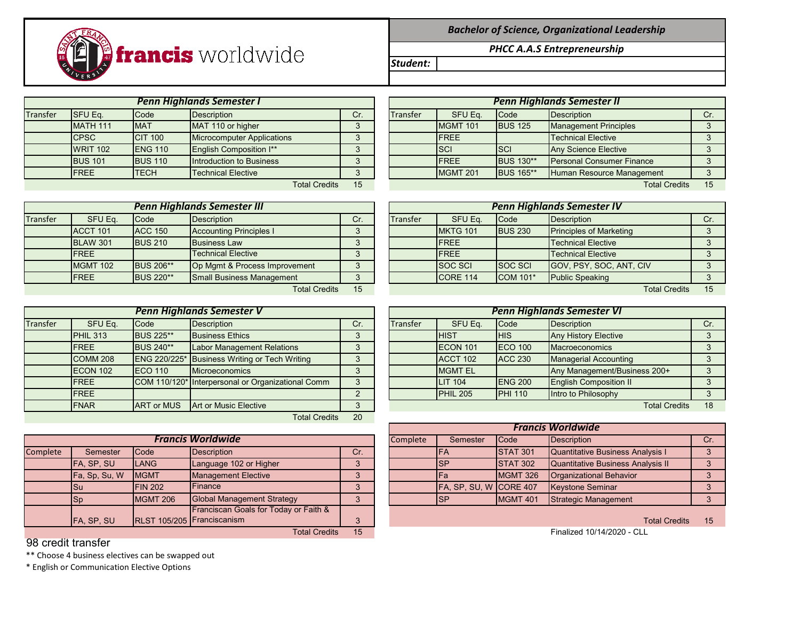## *Bachelor of Science, Organizational Leadership*

*PHCC A.A.S Entrepreneurship*

| <b>Penn Highlands Semester I</b><br><b>Penn Highlands Semester II</b><br>SFU Eq.<br>Description<br>Description<br>SFU Eq.<br>Code<br>Transfer<br>Code<br><b>Transfer</b><br>Cr.<br>Cr.<br><b>MATH 111</b><br>MAT 110 or higher<br><b>MGMT 101</b><br><b>Management Principles</b><br><b>MAT</b><br><b>BUS 125</b> |  |
|-------------------------------------------------------------------------------------------------------------------------------------------------------------------------------------------------------------------------------------------------------------------------------------------------------------------|--|
|                                                                                                                                                                                                                                                                                                                   |  |
|                                                                                                                                                                                                                                                                                                                   |  |
|                                                                                                                                                                                                                                                                                                                   |  |
| <b>Microcomputer Applications</b><br><b>Technical Elective</b><br><b>CPSC</b><br><b>CIT 100</b><br><b>FREE</b><br>$\sqrt{2}$                                                                                                                                                                                      |  |
| <b>WRIT 102</b><br>English Composition I**<br><b>SCI</b><br>Any Science Elective<br><b>ENG 110</b><br><b>ISCI</b><br>3                                                                                                                                                                                            |  |
| Introduction to Business<br><b>FREE</b><br><b>Personal Consumer Finance</b><br><b>IBUS 101</b><br><b>BUS 110</b><br><b>BUS 130**</b><br>3                                                                                                                                                                         |  |
| FREE<br><b>MGMT 201</b><br><b>TECH</b><br><b>Technical Elective</b><br>Human Resource Management<br><b>BUS 165**</b><br>$\Omega$                                                                                                                                                                                  |  |
| 15<br><b>Total Credits</b><br><b>Total Credits</b><br>15                                                                                                                                                                                                                                                          |  |

**francis** worldwide

|          | <b>WRIT 102</b> | <b>ENG 110</b> | English Composition I**            | $\sim$   |          | <b>SCI</b>      | <b>SCI</b>       | Any Science Elective              |     |
|----------|-----------------|----------------|------------------------------------|----------|----------|-----------------|------------------|-----------------------------------|-----|
|          | <b>BUS 101</b>  | <b>BUS 110</b> | Introduction to Business           |          |          | <b>FREE</b>     | <b>BUS 130**</b> | <b>Personal Consumer Finance</b>  |     |
|          | <b>IFREE</b>    | <b>TECH</b>    | <b>Technical Elective</b>          |          |          | <b>MGMT 201</b> | <b>BUS 165**</b> | Human Resource Management         |     |
|          |                 |                | <b>Total Credits</b>               | 15       |          |                 |                  | <b>Total Credits</b>              | 15  |
|          |                 |                |                                    |          |          |                 |                  |                                   |     |
|          |                 |                | <b>Penn Highlands Semester III</b> |          |          |                 |                  | <b>Penn Highlands Semester IV</b> |     |
| Transfer | SFU Eq.         | <b>Code</b>    | Description                        | Cr.      | Transfer | SFU Eq.         | Code             | Description                       | Cr. |
|          | ACCT 101        | <b>ACC 150</b> | <b>Accounting Principles I</b>     | $\Omega$ |          | <b>MKTG 101</b> | <b>BUS 230</b>   | <b>Principles of Marketing</b>    |     |
|          | <b>BLAW 301</b> | <b>BUS 210</b> | <b>Business Law</b>                | $\Omega$ |          | <b>IFREE</b>    |                  | <b>Technical Elective</b>         |     |

| <b>Penn Highlands Semester III</b> |                 |                  |                                  |            |  |  |  |  |  |  |
|------------------------------------|-----------------|------------------|----------------------------------|------------|--|--|--|--|--|--|
| <b>Transfer</b>                    | SFU Eq.         | Code             | <b>Description</b>               | Cr.        |  |  |  |  |  |  |
|                                    | ACCT 101        | <b>ACC 150</b>   | <b>Accounting Principles I</b>   | 3          |  |  |  |  |  |  |
|                                    | <b>BLAW 301</b> | <b>BUS 210</b>   | <b>Business Law</b>              |            |  |  |  |  |  |  |
|                                    | <b>FREE</b>     |                  | <b>Technical Elective</b>        |            |  |  |  |  |  |  |
|                                    | <b>MGMT 102</b> | <b>BUS 206**</b> | Op Mgmt & Process Improvement    |            |  |  |  |  |  |  |
|                                    | <b>FREE</b>     | <b>BUS 220**</b> | <b>Small Business Management</b> |            |  |  |  |  |  |  |
|                                    |                 |                  | $T_{\alpha}$ tal Cradita         | <b>4 E</b> |  |  |  |  |  |  |

|          | <b>Penn Highlands Semester V</b> |                   |                                                   |          |  |                 | <b>Penn Highlands Semester VI</b> |                 |                               |     |  |  |
|----------|----------------------------------|-------------------|---------------------------------------------------|----------|--|-----------------|-----------------------------------|-----------------|-------------------------------|-----|--|--|
| Transfer | SFU Eq.                          | Code              | Description                                       | Cr.      |  | <b>Transfer</b> | SFU Eq.                           | Code            | Description                   | Cr. |  |  |
|          | <b>PHIL 313</b>                  | <b>BUS 225**</b>  | <b>Business Ethics</b>                            |          |  |                 | <b>HIST</b>                       | <b>HIS</b>      | <b>Any History Elective</b>   |     |  |  |
|          | <b>IFREE</b>                     | <b>BUS 240**</b>  | Labor Management Relations                        | 3        |  |                 | <b>IECON 101</b>                  | <b>IECO 100</b> | Macroeconomics                |     |  |  |
|          | <b>COMM 208</b>                  |                   | ENG 220/225* Business Writing or Tech Writing     |          |  |                 | ACCT 102                          | <b>ACC 230</b>  | <b>Managerial Accounting</b>  |     |  |  |
|          | ECON 102                         | <b>IECO 110</b>   | Microeconomics                                    | $\Omega$ |  |                 | <b>MGMT EL</b>                    |                 | Any Management/Business 200+  |     |  |  |
|          | <b>IFREE</b>                     |                   | COM 110/120* Interpersonal or Organizational Comm | 3        |  |                 | <b>LIT 104</b>                    | <b>ENG 200</b>  | <b>English Composition II</b> |     |  |  |
|          | <b>IFREE</b>                     |                   |                                                   |          |  |                 | PHIL <sub>205</sub>               | <b>PHI 110</b>  | Intro to Philosophy           |     |  |  |
|          | <b>FNAR</b>                      | <b>ART or MUS</b> | <b>Art or Music Elective</b>                      |          |  |                 |                                   |                 | <b>Total Credits</b>          | 18  |  |  |
|          |                                  |                   | <b>Total Credits</b>                              | 20       |  |                 |                                   |                 |                               |     |  |  |

|          | <b>Francis Worldwide</b>          |                  |                                       |                   |  |  | Semester               | <b>Code</b>     | Description                             | Cr  |
|----------|-----------------------------------|------------------|---------------------------------------|-------------------|--|--|------------------------|-----------------|-----------------------------------------|-----|
| Complete | Semester                          | <b>Code</b>      | Description                           | Cr.               |  |  | <b>IFA</b>             | <b>STAT 301</b> | <b>Quantitative Business Analysis I</b> |     |
|          | FA, SP, SU                        | <b>LANG</b>      | Language 102 or Higher                | $\mathbf{\Omega}$ |  |  | <b>SP</b>              | <b>STAT 302</b> | Quantitative Business Analysis II       |     |
|          | Fa, Sp, Su, W                     | <b>IMGMT</b>     | <b>Management Elective</b>            | $\Omega$          |  |  | IFa                    | MGMT 326        | <b>Organizational Behavior</b>          |     |
|          | ISu                               | <b>FIN 202</b>   | <b>Finance</b>                        | ∘                 |  |  | FA, SP, SU, W CORE 407 |                 | <b>Keystone Seminar</b>                 |     |
|          | lSp                               | <b>IMGMT 206</b> | <b>Global Management Strategy</b>     | $\Omega$          |  |  | <b>ISP</b>             | MGMT 401        | Strategic Management                    |     |
|          |                                   |                  | Franciscan Goals for Today or Faith & |                   |  |  |                        |                 |                                         |     |
|          | FA, SP, SU                        |                  | RLST 105/205 Franciscanism            |                   |  |  |                        |                 | <b>Total Credits</b>                    | -15 |
|          | $T = 1.1$ $Q_{max}$ and $T = 1.1$ |                  |                                       |                   |  |  |                        |                 | $F: -1$ $-140/44/0000$ $011$            |     |

## 98 credit transfer

\*\* Choose 4 business electives can be swapped out

\* English or Communication Elective Options

|                 |                  | TVM VIVUM                          | .   |          |                |                 | TVM VIVANT                        | .   |
|-----------------|------------------|------------------------------------|-----|----------|----------------|-----------------|-----------------------------------|-----|
|                 |                  | <b>Penn Highlands Semester III</b> |     |          |                |                 | <b>Penn Highlands Semester IV</b> |     |
| SFU Eq.         | Code             | <b>Description</b>                 | Cr. | Transfer | SFU Eq.        | Code            | <b>Description</b>                | Cr. |
| <b>ACCT 101</b> | <b>ACC 150</b>   | <b>Accounting Principles I</b>     | 3   |          | MKTG 101       | <b>BUS 230</b>  | <b>Principles of Marketing</b>    |     |
| <b>BLAW 301</b> | <b>BUS 210</b>   | <b>Business Law</b>                |     |          | <b>FREE</b>    |                 | <b>Technical Elective</b>         |     |
| <b>FREE</b>     |                  | <b>Technical Elective</b>          | ົ   |          | <b>FREE</b>    |                 | <b>Technical Elective</b>         |     |
| <b>MGMT 102</b> | <b>BUS 206**</b> | Op Mgmt & Process Improvement      | 3   |          | <b>SOC SCI</b> | <b>SOC SCI</b>  | GOV, PSY, SOC, ANT, CIV           |     |
| <b>FREE</b>     | <b>BUS 220**</b> | <b>Small Business Management</b>   |     |          | CORE 114       | <b>COM 101*</b> | <b>Public Speaking</b>            |     |
|                 |                  | Total Credits                      | 15  |          |                |                 | <b>Total Credits</b>              | 15  |

|                 |                   | <b>Penn Highlands Semester V</b>                  |     | <b>Penn Highlands Semester VI</b> |                     |                |                               |     |  |  |  |
|-----------------|-------------------|---------------------------------------------------|-----|-----------------------------------|---------------------|----------------|-------------------------------|-----|--|--|--|
| SFU Eq.         | Code              | Description                                       | Cr. | Transfer                          | SFU Eq.             | Code           | Description                   | Cr. |  |  |  |
| <b>PHIL 313</b> | <b>BUS 225**</b>  | <b>Business Ethics</b>                            |     |                                   | <b>HIST</b>         | <b>HIS</b>     | <b>Any History Elective</b>   |     |  |  |  |
| <b>FREE</b>     | <b>BUS 240**</b>  | <b>Labor Management Relations</b>                 | 3   |                                   | ECON 101            | <b>ECO 100</b> | <b>Macroeconomics</b>         |     |  |  |  |
| <b>COMM 208</b> |                   | ENG 220/225* Business Writing or Tech Writing     | 3   |                                   | ACCT 102            | <b>ACC 230</b> | <b>Managerial Accounting</b>  |     |  |  |  |
| <b>ECON 102</b> | <b>IECO 110</b>   | <b>Microeconomics</b>                             |     |                                   | <b>MGMT EL</b>      |                | Any Management/Business 200+  |     |  |  |  |
| <b>FREE</b>     |                   | COM 110/120* Interpersonal or Organizational Comm | 3   |                                   | <b>LIT 104</b>      | <b>ENG 200</b> | <b>English Composition II</b> |     |  |  |  |
| <b>FREE</b>     |                   |                                                   |     |                                   | PHIL <sub>205</sub> | <b>PHI 110</b> | Intro to Philosophy           |     |  |  |  |
| <b>FNAR</b>     | <b>ART or MUS</b> | Art or Music Elective                             |     |                                   |                     |                | Total Credits                 | 18  |  |  |  |

|               |                          |                                       |          | <b>Francis Worldwide</b> |                        |                  |                                         |  |  |  |  |
|---------------|--------------------------|---------------------------------------|----------|--------------------------|------------------------|------------------|-----------------------------------------|--|--|--|--|
|               | <b>Francis Worldwide</b> | Complete                              | Semester | <b>I</b> Code            | Description            | Cr.              |                                         |  |  |  |  |
| Semester      | Code                     | <b>Description</b>                    | Cr.      |                          | IFA                    | <b>ISTAT 301</b> | <b>Quantitative Business Analysis I</b> |  |  |  |  |
| FA, SP, SU    | <b>LANG</b>              | Language 102 or Higher                |          |                          | <b>ISP</b>             | <b>STAT 302</b>  | Quantitative Business Analysis II       |  |  |  |  |
| Fa, Sp, Su, W | <b>IMGMT</b>             | <b>Management Elective</b>            |          |                          | IFa                    | MGMT 326         | Organizational Behavior                 |  |  |  |  |
| Su            | <b>FIN 202</b>           | Finance                               |          |                          | FA, SP, SU, W CORE 407 |                  | <b>Keystone Seminar</b>                 |  |  |  |  |
| Sp            | <b>IMGMT 206</b>         | <b>Global Management Strategy</b>     |          |                          | <b>ISP</b>             | <b>MGMT 401</b>  | Strategic Management                    |  |  |  |  |
|               |                          | Franciscop Coole for Today or Foith 8 |          |                          |                        |                  |                                         |  |  |  |  |

Total Credits 15 Total Credits 15 Finalized 10/14/2020 - CLL

*Student:*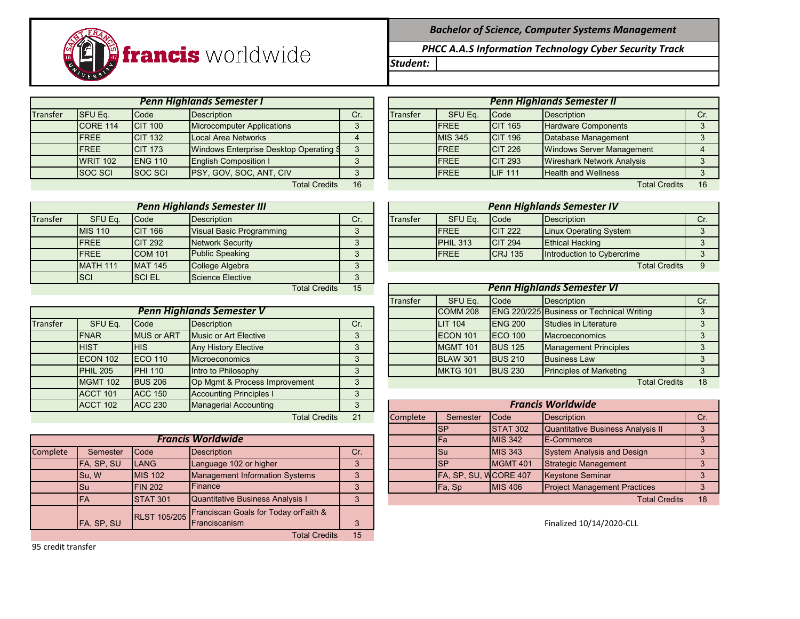*Bachelor of Science, Computer Systems Management*

*PHCC A.A.S Information Technology Cyber Security Track*

*Student:*

|          | VERSI           |                |                                        |                |                 |                |                |                                   |     |
|----------|-----------------|----------------|----------------------------------------|----------------|-----------------|----------------|----------------|-----------------------------------|-----|
|          |                 |                | <b>Penn Highlands Semester I</b>       |                |                 |                |                | <b>Penn Highlands Semester II</b> |     |
| Transfer | <b>SFU Eq.</b>  | Code           | <b>Description</b>                     | Cr.            | <b>Transfer</b> | SFU Eq.        | <b>Code</b>    | <b>Description</b>                | Cr. |
|          | CORE 114        | <b>CIT 100</b> | <b>Microcomputer Applications</b>      |                |                 | <b>IFREE</b>   | <b>CIT 165</b> | <b>Hardware Components</b>        |     |
|          | <b>IFREE</b>    | <b>CIT 132</b> | Local Area Networks                    |                |                 | <b>MIS 345</b> | <b>CIT 196</b> | Database Management               |     |
|          | <b>IFREE</b>    | <b>CIT 173</b> | Windows Enterprise Desktop Operating S | 3              |                 | <b>IFREE</b>   | <b>CIT 226</b> | <b>Windows Server Management</b>  |     |
|          | <b>WRIT 102</b> | <b>ENG 110</b> | <b>English Composition I</b>           |                |                 | <b>IFREE</b>   | <b>CIT 293</b> | <b>Wireshark Network Analysis</b> |     |
|          | <b>SOC SCI</b>  | <b>SOC SCI</b> | PSY, GOV, SOC, ANT, CIV                |                |                 | FREE           | <b>LIF 111</b> | <b>Health and Wellness</b>        |     |
|          |                 |                | Total Crodite                          | 1 <sup>6</sup> |                 |                |                | Total Crodite                     | 16  |

**francis** worldwide

|          | Penn Highlands Semester III |                |                                 |        |  | <b>Penn Highlands Semester IV</b> |                 |                 |                                   |     |  |
|----------|-----------------------------|----------------|---------------------------------|--------|--|-----------------------------------|-----------------|-----------------|-----------------------------------|-----|--|
| Transfer | SFU Eq.                     | Code           | <b>Description</b>              | Cr.    |  | <b>Transfer</b>                   | SFU Eq.         | <b>Code</b>     | Description                       | Cr. |  |
|          |                             |                |                                 |        |  |                                   |                 |                 |                                   |     |  |
|          | <b>MIS 110</b>              | <b>CIT 166</b> | <b>Visual Basic Programming</b> | $\sim$ |  |                                   | <b>FREE</b>     | <b>ICIT 222</b> | <b>Linux Operating System</b>     |     |  |
|          | <b>FREE</b>                 | <b>CIT 292</b> | Network Security                |        |  |                                   | <b>PHIL 313</b> | <b>CIT 294</b>  | <b>Ethical Hacking</b>            |     |  |
|          | <b>FREE</b>                 | <b>COM 101</b> | <b>Public Speaking</b>          |        |  |                                   | <b>IFREE</b>    | <b>CRJ 135</b>  | Introduction to Cybercrime        |     |  |
|          | MATH 111                    | <b>MAT 145</b> | College Algebra                 |        |  |                                   |                 |                 | <b>Total Credits</b>              | 9   |  |
|          | <b>SCI</b>                  | <b>SCIEL</b>   | Science Elective                | C      |  |                                   |                 |                 |                                   |     |  |
|          |                             |                | <b>Total Credits</b>            | 15     |  |                                   |                 |                 | <b>Penn Highlands Semester VI</b> |     |  |

|          |                 |                   | <b>Penn Highlands Semester V</b> |          |          | COMM <sub>208</sub> |                 | <b>ENG 220/225 Business or Technical Writing</b> |    |
|----------|-----------------|-------------------|----------------------------------|----------|----------|---------------------|-----------------|--------------------------------------------------|----|
| Transfer | SFU Eq.         | Code              | <b>Description</b>               | Cr.      |          | <b>LIT 104</b>      | <b>ENG 200</b>  | Studies in Literature                            |    |
|          | <b>FNAR</b>     | <b>MUS or ART</b> | Music or Art Elective            | $\Omega$ |          | ECON 101            | <b>IECO 100</b> | <b>Macroeconomics</b>                            |    |
|          | <b>HIST</b>     | <b>IHIS</b>       | <b>Any History Elective</b>      | 3        |          | <b>MGMT 101</b>     | <b>BUS 125</b>  | <b>Management Principles</b>                     |    |
|          | ECON 102        | <b>ECO 110</b>    | <b>Microeconomics</b>            | 3        |          | <b>BLAW 301</b>     | <b>BUS 210</b>  | <b>Business Law</b>                              |    |
|          | PHIL 205        | <b>PHI 110</b>    | Intro to Philosophy              | $\Omega$ |          | MKTG 101            | <b>BUS 230</b>  | <b>Principles of Marketing</b>                   |    |
|          | <b>MGMT 102</b> | <b>BUS 206</b>    | Op Mgmt & Process Improvement    | 3        |          |                     |                 | <b>Total Credits</b>                             | 18 |
|          | ACCT 101        | <b>ACC 150</b>    | <b>Accounting Principles I</b>   | 3        |          |                     |                 |                                                  |    |
|          | ACCT 102        | <b>ACC 230</b>    | <b>Managerial Accounting</b>     | 3        |          |                     |                 | <b>Francis Worldwide</b>                         |    |
|          |                 |                   | <b>Total Credits</b>             | 21       | Complete | Semester            | Code            | Description                                      | Cr |

| Cr.                                                    |  |                                                   |                                                                                                 |                                                                                                                                                                        |
|--------------------------------------------------------|--|---------------------------------------------------|-------------------------------------------------------------------------------------------------|------------------------------------------------------------------------------------------------------------------------------------------------------------------------|
| Language 102 or higher<br>3                            |  |                                                   |                                                                                                 |                                                                                                                                                                        |
| <b>Management Information Systems</b><br>3             |  |                                                   |                                                                                                 |                                                                                                                                                                        |
| 2                                                      |  |                                                   |                                                                                                 |                                                                                                                                                                        |
| Quantitative Business Analysis I<br>3                  |  |                                                   | <b>Total Credits</b>                                                                            | 18                                                                                                                                                                     |
| RLST 105/205 Franciscan Goals for Today orFaith &<br>2 |  |                                                   |                                                                                                 |                                                                                                                                                                        |
|                                                        |  | <b>IFa</b><br><b>I</b> Su<br><b>ISP</b><br>Fa, Sp | <b>IMIS 342</b><br><b>MIS 343</b><br><b>MGMT 401</b><br>FA, SP, SU, WCORE 407<br><b>MIS 406</b> | <b>IE-Commerce</b><br>System Analysis and Design<br>Strategic Management<br><b>Keystone Seminar</b><br><b>Project Management Practices</b><br>Finalized 10/14/2020-CLL |

Total Credits 15

95 credit transfer

|                            |                | <b>Penn Highlands Semester I</b>       |     |                 |                |                 | <b>Penn Highlands Semester II</b> |     |
|----------------------------|----------------|----------------------------------------|-----|-----------------|----------------|-----------------|-----------------------------------|-----|
| SFU Eq.                    | Code           | <b>Description</b>                     | Cr. | <b>Transfer</b> | SFU Eq.        | <b>Code</b>     | <b>Description</b>                | Cr. |
| <b>CORE 114</b>            | <b>CIT 100</b> | <b>Microcomputer Applications</b>      |     |                 | <b>IFREE</b>   | <b>ICIT 165</b> | <b>Hardware Components</b>        |     |
| <b>FREE</b>                | <b>CIT 132</b> | Local Area Networks                    |     |                 | <b>MIS 345</b> | <b>ICIT 196</b> | Database Management               |     |
| <b>FREE</b>                | <b>CIT 173</b> | Windows Enterprise Desktop Operating S |     |                 | <b>IFREE</b>   | <b>ICIT 226</b> | <b>Windows Server Management</b>  |     |
| <b>WRIT 102</b>            | <b>ENG 110</b> | <b>English Composition I</b>           |     |                 | <b>FREE</b>    | <b>CIT 293</b>  | <b>Wireshark Network Analysis</b> |     |
| SOC SCI                    | <b>SOC SCI</b> | PSY, GOV, SOC, ANT, CIV                |     |                 | <b>IFREE</b>   | <b>ILIF 111</b> | <b>Health and Wellness</b>        |     |
| 16<br><b>Total Credits</b> |                |                                        |     |                 |                |                 | <b>Total Credits</b>              | 16  |

|                |                 | <b>Penn Highlands Semester III</b> |     |                 |              |                | <b>Penn Highlands Semester IV</b> |     |
|----------------|-----------------|------------------------------------|-----|-----------------|--------------|----------------|-----------------------------------|-----|
| SFU Eq.        | Code            | <b>Description</b>                 | Cr. | <b>Transfer</b> | SFU Eq.      | <b>Code</b>    | <b>IDescription</b>               | Cr. |
| <b>MIS 110</b> | <b>ICIT 166</b> | Visual Basic Programming           |     |                 | <b>IFREE</b> | <b>CIT 222</b> | <b>Linux Operating System</b>     |     |
| <b>FREE</b>    | <b>CIT 292</b>  | Network Security                   |     |                 | PHIL 313     | <b>CIT 294</b> | <b>Ethical Hacking</b>            |     |
| <b>FREE</b>    | <b>COM 101</b>  | <b>Public Speaking</b>             |     |                 | <b>IFREE</b> | <b>CRJ 135</b> | <b>Introduction to Cybercrime</b> |     |
| $MATH$ 111     | MAAT 145        | Collogo Algobra                    |     |                 |              |                | Total Crodite                     |     |

|                 |                   | <b>Total Credits</b>             | 15  | <b>Penn Highlands Semester VI</b> |                     |                 |                                                  |     |  |  |  |
|-----------------|-------------------|----------------------------------|-----|-----------------------------------|---------------------|-----------------|--------------------------------------------------|-----|--|--|--|
|                 |                   |                                  |     |                                   |                     |                 |                                                  |     |  |  |  |
|                 |                   |                                  |     | Transfer                          | SFU Eq.             | <b>Code</b>     | Description                                      | Cr. |  |  |  |
|                 |                   | <b>Penn Highlands Semester V</b> |     |                                   | COMM <sub>208</sub> |                 | <b>ENG 220/225 Business or Technical Writing</b> |     |  |  |  |
| SFU Eq.         | Code              | Description                      | Cr. |                                   | <b>LIT 104</b>      | <b>IENG 200</b> | Studies in Literature                            |     |  |  |  |
| <b>FNAR</b>     | <b>MUS or ART</b> | Music or Art Elective            |     |                                   | <b>IECON 101</b>    | <b>IECO 100</b> | <b>Macroeconomics</b>                            |     |  |  |  |
| <b>HIST</b>     | <b>HIS</b>        | <b>Any History Elective</b>      |     |                                   | <b>MGMT 101</b>     | <b>BUS 125</b>  | <b>Management Principles</b>                     |     |  |  |  |
| <b>ECON 102</b> | <b>ECO</b> 110    | <b>Microeconomics</b>            |     |                                   | <b>BLAW 301</b>     | <b>BUS 210</b>  | <b>Business Law</b>                              |     |  |  |  |
| <b>PHIL 205</b> | <b>PHI 110</b>    | Intro to Philosophy              |     |                                   | <b>MKTG 101</b>     | <b>BUS 230</b>  | <b>Principles of Marketing</b>                   |     |  |  |  |
| <b>MGMT 102</b> | <b>BUS 206</b>    | On Mamt & Process Improvement    |     |                                   |                     |                 | <b>Total Credits</b>                             | 18  |  |  |  |

| <b>ACCT 102</b> | <b>ACC 230</b>  | <b>Managerial Accounting</b>            |     | <b>Francis Worldwide</b> |                       |                 |                                     |     |  |  |  |  |
|-----------------|-----------------|-----------------------------------------|-----|--------------------------|-----------------------|-----------------|-------------------------------------|-----|--|--|--|--|
|                 |                 | <b>Total Credits</b>                    | 21  | Complete                 | Semester              | <b>ICode</b>    | Description                         | Cr. |  |  |  |  |
|                 |                 |                                         |     |                          | <b>ISP</b>            | <b>STAT 302</b> | Quantitative Business Analysis II   |     |  |  |  |  |
|                 |                 | <b>Francis Worldwide</b>                |     |                          | lFa                   | <b>MIS 342</b>  | <b>IE-Commerce</b>                  |     |  |  |  |  |
| Semester        | <b>Code</b>     | Description                             | Cr. |                          | ISu                   | <b>MIS 343</b>  | System Analysis and Design          |     |  |  |  |  |
| FA, SP, SU      | LANG            | Language 102 or higher                  |     |                          | <b>SP</b>             | MGMT 401        | <b>Strategic Management</b>         |     |  |  |  |  |
| Su.W            | <b>MIS 102</b>  | <b>Management Information Systems</b>   |     |                          | FA, SP, SU, WCORE 407 |                 | <b>Keystone Seminar</b>             |     |  |  |  |  |
| Su              | <b>FIN 202</b>  | Finance                                 |     |                          | Fa, Sp                | <b>MIS 406</b>  | <b>Project Management Practices</b> |     |  |  |  |  |
| <b>FA</b>       | <b>STAT 301</b> | <b>Quantitative Business Analysis I</b> |     |                          |                       |                 | <b>Total Credits</b>                | 18  |  |  |  |  |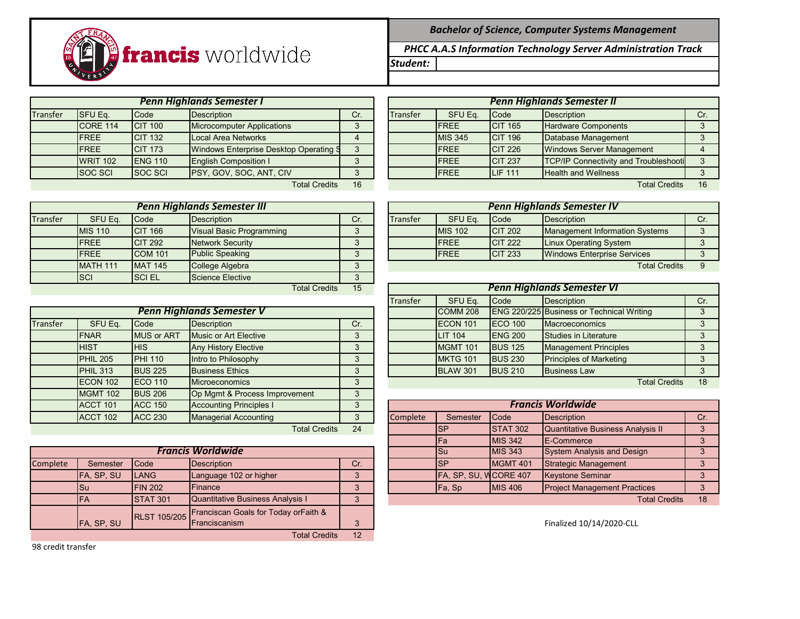*Bachelor of Science, Computer Systems Management*

*Student: PHCC A.A.S Information Technology Server Administration Track*



|          | Penn Highlands Semester I |                 |                                        |     |  |                 |                |                 | Penn Highlands Semester II                   |     |
|----------|---------------------------|-----------------|----------------------------------------|-----|--|-----------------|----------------|-----------------|----------------------------------------------|-----|
| Transfer | <b>SFU Eq.</b>            | Code            | Description                            | Cr. |  | <b>Transfer</b> | SFU Eq.        | <b>Code</b>     | Description                                  | Cr. |
|          | <b>ICORE 114</b>          | <b>CIT 100</b>  | <b>Microcomputer Applications</b>      |     |  |                 | <b>IFREE</b>   | <b>CIT 165</b>  | Hardware Components                          |     |
|          | <b>IFREE</b>              | <b>CIT 132</b>  | Local Area Networks                    |     |  |                 | <b>MIS 345</b> | <b>CIT 196</b>  | Database Management                          |     |
|          | <b>IFREE</b>              | <b>CIT 173</b>  | Windows Enterprise Desktop Operating S | ∘   |  |                 | <b>IFREE</b>   | <b>CIT 226</b>  | <b>Windows Server Management</b>             |     |
|          | <b>WRIT 102</b>           | <b>IENG 110</b> | <b>English Composition I</b>           |     |  |                 | <b>IFREE</b>   | <b>CIT 237</b>  | <b>TCP/IP Connectivity and Troubleshooti</b> |     |
|          | <b>SOC SCI</b>            | <b>ISOC SCI</b> | PSY, GOV, SOC, ANT, CIV                | ∘   |  |                 | <b>IFREE</b>   | <b>ILIF 111</b> | <b>Health and Wellness</b>                   |     |
|          |                           |                 | <b>Total Credits</b>                   | 16  |  |                 |                |                 | <b>Total Credits</b>                         | 16  |

|          | <b>Penn Highlands Semester III</b> |                |                                 |          |  |                 |                |                 | <b>Penn Highlands Semester IV</b> |     |
|----------|------------------------------------|----------------|---------------------------------|----------|--|-----------------|----------------|-----------------|-----------------------------------|-----|
| Transfer | SFU Eq.                            | Code           | Description                     | Cr.      |  | <b>Transfer</b> | SFU Eq.        | <b>Code</b>     | Description                       | Cr. |
|          | <b>MIS 110</b>                     | <b>CIT 166</b> | <b>Visual Basic Programming</b> | $\sim$   |  |                 | <b>MIS 102</b> | <b>ICIT 202</b> | Management Information Systems    |     |
|          | <b>IFREE</b>                       | <b>CIT 292</b> | Network Security                |          |  |                 | <b>IFREE</b>   | <b>CIT 222</b>  | Linux Operating System            |     |
|          | <b>IFREE</b>                       | <b>COM 101</b> | <b>Public Speaking</b>          | $\Omega$ |  |                 | <b>IFREE</b>   | <b>CIT 233</b>  | Windows Enterprise Services       |     |
|          | <b>MATH 111</b>                    | <b>MAT 145</b> | College Algebra                 | $\circ$  |  |                 |                |                 | <b>Total Credits</b>              | 9   |
|          | <b>SCI</b>                         | <b>ISCIEL</b>  | Science Elective                | ∘        |  |                 |                |                 |                                   |     |
|          | 15<br><b>Total Credits</b>         |                |                                 |          |  |                 |                |                 | <b>Penn Highlands Semester VI</b> |     |

|          |                 |                   | Penn Highlands Semester V      |     |          | COMM <sub>208</sub> |                 | <b>ENG 220/225 Business or Technical Writing</b> |    |
|----------|-----------------|-------------------|--------------------------------|-----|----------|---------------------|-----------------|--------------------------------------------------|----|
| Transfer | SFU Eq.         | Code              | <b>Description</b>             | Cr. |          | ECON 101            | <b>IECO 100</b> | Macroeconomics                                   |    |
|          | <b>FNAR</b>     | <b>MUS or ART</b> | Music or Art Elective          | 3   |          | <b>LIT 104</b>      | <b>ENG 200</b>  | Studies in Literature                            |    |
|          | <b>HIST</b>     | IHIS.             | <b>Any History Elective</b>    | 3   |          | MGMT 101            | <b>BUS 125</b>  | <b>Management Principles</b>                     |    |
|          | PHIL 205        | <b>PHI 110</b>    | Intro to Philosophy            | 3   |          | <b>MKTG 101</b>     | <b>BUS 230</b>  | <b>Principles of Marketing</b>                   |    |
|          | <b>PHIL 313</b> | <b>BUS 225</b>    | <b>Business Ethics</b>         | 3   |          | <b>BLAW 301</b>     | <b>BUS 210</b>  | <b>Business Law</b>                              |    |
|          | ECON 102        | <b>ECO 110</b>    | <b>Microeconomics</b>          | 3   |          |                     |                 | <b>Total Credits</b>                             | 18 |
|          | <b>MGMT 102</b> | <b>BUS 206</b>    | Op Mgmt & Process Improvement  | 3   |          |                     |                 |                                                  |    |
|          | ACCT 101        | <b>ACC 150</b>    | <b>Accounting Principles I</b> |     |          |                     |                 | <b>Francis Worldwide</b>                         |    |
|          | ACCT 102        | <b>ACC 230</b>    | <b>Managerial Accounting</b>   | 3   | Complete | Semester            | Code            | Description                                      | Cr |
|          |                 |                   | <b>Total Credits</b>           | 24  |          | <b>ISP</b>          | <b>STAT 302</b> | Quantitative Business Analysis II                | 3  |

|          |                   |                  | <b>Francis Worldwide</b>                          |     |  |  | <b>ISu</b>            | <b>MIS 343</b>  | System Analysis and Design          |    |
|----------|-------------------|------------------|---------------------------------------------------|-----|--|--|-----------------------|-----------------|-------------------------------------|----|
| Complete | Semester          | <b>Code</b>      | <b>Description</b>                                | Cr. |  |  |                       | <b>MGMT 401</b> | Strategic Management                |    |
|          | <b>FA, SP, SU</b> | <b>LANG</b>      | Language 102 or higher                            |     |  |  | FA, SP, SU, WCORE 407 |                 | <b>Keystone Seminar</b>             |    |
|          | ISu               | <b>FIN 202</b>   | lFinance                                          |     |  |  | <b>IFa, Sp</b>        | <b>IMIS 406</b> | <b>Project Management Practices</b> |    |
|          | <b>FA</b>         | <b>ISTAT 301</b> | Quantitative Business Analysis I                  |     |  |  |                       |                 | <b>Total Credits</b>                | 18 |
|          | FA, SP, SU        |                  | RLST 105/205 Franciscan Goals for Today orFaith & |     |  |  |                       |                 | Finalized 10/14/2020-CLL            |    |

Total Credits 12

| 98 credit transfer |  |
|--------------------|--|
|--------------------|--|

|                 |                            | <b>Penn Highlands Semester I</b>       |     |  |                 |                |                | <b>Penn Highlands Semester II</b>            |     |
|-----------------|----------------------------|----------------------------------------|-----|--|-----------------|----------------|----------------|----------------------------------------------|-----|
| SFU Eq.         | Code                       | <b>Description</b>                     | Cr. |  | <b>Transfer</b> | SFU Eq.        | Code           | Description                                  | Cr. |
| <b>CORE 114</b> | <b>CIT 100</b>             | <b>Microcomputer Applications</b>      |     |  |                 | <b>FREE</b>    | <b>CIT 165</b> | <b>Hardware Components</b>                   |     |
| <b>FREE</b>     | <b>CIT 132</b>             | Local Area Networks                    |     |  |                 | <b>MIS 345</b> | <b>CIT 196</b> | Database Management                          |     |
| <b>FREE</b>     | <b>CIT 173</b>             | Windows Enterprise Desktop Operating S |     |  |                 | <b>IFREE</b>   | <b>CIT 226</b> | <b>Windows Server Management</b>             |     |
| <b>WRIT 102</b> | <b>ENG 110</b>             | <b>English Composition I</b>           |     |  |                 | <b>IFREE</b>   | <b>CIT 237</b> | <b>TCP/IP Connectivity and Troubleshooti</b> |     |
| SOC SCI         | <b>SOC SCI</b>             | <b>PSY, GOV, SOC, ANT, CIV</b>         |     |  |                 | <b>IFREE</b>   | <b>LIF 111</b> | <b>Health and Wellness</b>                   |     |
|                 | 16<br><b>Total Credits</b> |                                        |     |  |                 |                |                | <b>Total Credits</b>                         | 16  |

|                 |                 | Penn Highlands Semester III |     |          |                |                 | <b>Penn Highlands Semester IV</b> |     |
|-----------------|-----------------|-----------------------------|-----|----------|----------------|-----------------|-----------------------------------|-----|
| SFU Eq.         | Code            | <b>Description</b>          | Cr. | Transfer | SFU Eq.        | <b>Code</b>     | Description                       | Cr. |
| <b>MIS 110</b>  | <b>ICIT 166</b> | Visual Basic Programming    |     |          | <b>MIS 102</b> | <b>ICIT 202</b> | Management Information Systems    |     |
| <b>FREE</b>     | <b>CIT 292</b>  | Network Security            |     |          | <b>IFREE</b>   | <b>ICIT 222</b> | <b>Linux Operating System</b>     |     |
| <b>FREE</b>     | <b>COM 101</b>  | <b>Public Speaking</b>      |     |          | <b>IFREE</b>   | <b>CIT 233</b>  | Windows Enterprise Services       |     |
| <b>MATH 111</b> | MAT 145         | College Algebra             |     |          |                |                 | Total Credite                     |     |

|                                  |                   | <b>Total Credits</b>        | 15  | <b>Penn Highlands Semester VI</b> |                     |                 |                                                  |     |  |  |
|----------------------------------|-------------------|-----------------------------|-----|-----------------------------------|---------------------|-----------------|--------------------------------------------------|-----|--|--|
|                                  |                   |                             |     | <b>Transfer</b>                   | SFU Eq.             | <b>Code</b>     | Description                                      | Cr. |  |  |
| <b>Penn Highlands Semester V</b> |                   |                             |     |                                   | COMM <sub>208</sub> |                 | <b>ENG 220/225 Business or Technical Writing</b> |     |  |  |
| SFU Eq.                          | Code              | <b>Description</b>          | Cr. |                                   | <b>IECON 101</b>    | <b>IECO 100</b> | <b>Macroeconomics</b>                            |     |  |  |
| <b>FNAR</b>                      | <b>MUS or ART</b> | Music or Art Elective       |     |                                   | <b>LIT 104</b>      | <b>IENG 200</b> | Studies in Literature                            |     |  |  |
| <b>HIST</b>                      | <b>HIS</b>        | <b>Any History Elective</b> |     |                                   | <b>MGMT 101</b>     | <b>BUS 125</b>  | <b>Management Principles</b>                     |     |  |  |
| <b>PHIL 205</b>                  | <b>PHI 110</b>    | Intro to Philosophy         |     |                                   | <b>MKTG 101</b>     | <b>BUS 230</b>  | <b>Principles of Marketing</b>                   |     |  |  |
| <b>PHIL 313</b>                  | <b>BUS 225</b>    | <b>Business Ethics</b>      |     |                                   | <b>BLAW 301</b>     | <b>BUS 210</b>  | <b>Business Law</b>                              |     |  |  |
| <b>FCON 102</b>                  | $FCO$ 110         | <b>Microeconomics</b>       |     |                                   |                     |                 | <b>Total Credits</b>                             | 18  |  |  |

| <b>ACCT 101</b> | <b>ACC 150</b>  | <b>Accounting Principles I</b>          |     |          |                       |                 | <b>Francis Worldwide</b>            |     |
|-----------------|-----------------|-----------------------------------------|-----|----------|-----------------------|-----------------|-------------------------------------|-----|
| <b>ACCT 102</b> | <b>ACC 230</b>  | Managerial Accounting                   |     | Complete | Semester              | <b>Code</b>     | Description                         | Cr. |
|                 |                 | <b>Total Credits</b>                    | 24  |          | ISP                   | <b>STAT 302</b> | Quantitative Business Analysis II   |     |
|                 |                 |                                         |     |          | <b>IFa</b>            | <b>MIS 342</b>  | <b>IE-Commerce</b>                  |     |
|                 |                 | <b>Francis Worldwide</b>                |     |          | <b>I</b> Su           | <b>MIS 343</b>  | System Analysis and Design          |     |
| Semester        | Code            | <b>Description</b>                      | Cr. |          | <b>ISP</b>            | <b>MGMT 401</b> | Strategic Management                |     |
| FA, SP, SU      | <b>LANG</b>     | Language 102 or higher                  |     |          | FA, SP, SU, WCORE 407 |                 | <b>Keystone Seminar</b>             |     |
| Su              | <b>FIN 202</b>  | Finance                                 |     |          | Fa, Sp                | <b>MIS 406</b>  | <b>Project Management Practices</b> |     |
| <b>FA</b>       | <b>STAT 301</b> | <b>Quantitative Business Analysis I</b> |     |          |                       |                 | <b>Total Credits</b>                | 18  |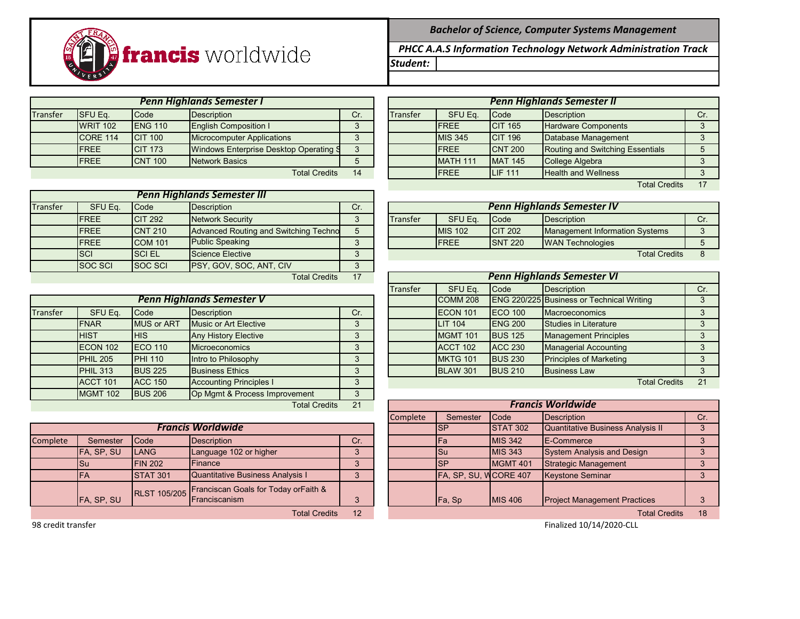

|          |                 |                 | <b>Penn Highlands Semester I</b>       |          | <b>Penn Highlands Semester II</b> |                |                 |                                  |     |  |
|----------|-----------------|-----------------|----------------------------------------|----------|-----------------------------------|----------------|-----------------|----------------------------------|-----|--|
| Transfer | <b>SFU Eq.</b>  | Code            | <b>Description</b>                     | Cr.      | Transfer                          | SFU Eq.        | Code            | Description                      | Cr. |  |
|          | <b>WRIT 102</b> | <b>IENG 110</b> | <b>English Composition I</b>           |          |                                   | <b>FREE</b>    | <b>CIT 165</b>  | <b>Hardware Components</b>       |     |  |
|          | ICORE 114       | <b>ICIT 100</b> | <b>Microcomputer Applications</b>      |          |                                   | <b>MIS 345</b> | <b>ICIT 196</b> | Database Management              |     |  |
|          | <b>IFREE</b>    | <b>CIT 173</b>  | Windows Enterprise Desktop Operating S | $\Omega$ |                                   | <b>IFREE</b>   | <b>CNT 200</b>  | Routing and Switching Essentials |     |  |
|          | <b>IFREE</b>    | <b>ICNT 100</b> | <b>Network Basics</b>                  |          |                                   | MATH 111       | <b>MAT 145</b>  | College Algebra                  |     |  |
|          |                 |                 | <b>Total Credits</b>                   | 14       |                                   | <b>IFREE</b>   | <b>LIF 111</b>  | <b>Health and Wellness</b>       |     |  |

| <b>Penn Highlands Semester III</b> |                |                |                                       |     |  |  |  |  |  |  |
|------------------------------------|----------------|----------------|---------------------------------------|-----|--|--|--|--|--|--|
| <b>Transfer</b>                    | SFU Eq.        | Code           | <b>Description</b>                    | Cr. |  |  |  |  |  |  |
|                                    | <b>FREE</b>    | <b>CIT 292</b> | <b>Network Security</b>               |     |  |  |  |  |  |  |
|                                    | <b>FREE</b>    | <b>CNT 210</b> | Advanced Routing and Switching Techno |     |  |  |  |  |  |  |
|                                    | <b>FREE</b>    | <b>COM 101</b> | <b>Public Speaking</b>                |     |  |  |  |  |  |  |
|                                    | <b>SCI</b>     | <b>SCIEL</b>   | <b>Science Elective</b>               |     |  |  |  |  |  |  |
|                                    | <b>SOC SCI</b> | <b>SOC SCI</b> | PSY, GOV, SOC, ANT, CIV               |     |  |  |  |  |  |  |
|                                    |                |                | <b>Total Credits</b>                  |     |  |  |  |  |  |  |

|          |                 |                   | <b>Penn Highlands Semester V</b> |     |  | COMM <sub>208</sub> |                 | <b>ENG 220/225 Business or Technical Writing</b> |                      |    |
|----------|-----------------|-------------------|----------------------------------|-----|--|---------------------|-----------------|--------------------------------------------------|----------------------|----|
| Transfer | SFU Eq.         | Code              | <b>Description</b>               | Cr. |  | ECON 101            | <b>IECO 100</b> | <b>Macroeconomics</b>                            |                      |    |
|          | <b>IFNAR</b>    | <b>MUS or ART</b> | Music or Art Elective            | 3   |  | <b>LIT 104</b>      | <b>ENG 200</b>  | Studies in Literature                            |                      |    |
|          | <b>HIST</b>     | <b>HIS</b>        | <b>Any History Elective</b>      | ◠   |  | <b>MGMT 101</b>     | <b>BUS 125</b>  | <b>Management Principles</b>                     |                      |    |
|          | ECON 102        | <b>IECO 110</b>   | <b>Microeconomics</b>            |     |  | ACCT 102            | <b>ACC 230</b>  | <b>Managerial Accounting</b>                     |                      |    |
|          | <b>PHIL 205</b> | <b>PHI 110</b>    | Intro to Philosophy              | 2   |  | <b>MKTG 101</b>     | <b>BUS 230</b>  | <b>Principles of Marketing</b>                   |                      |    |
|          | PHIL 313        | <b>BUS 225</b>    | <b>Business Ethics</b>           | 3   |  | <b>BLAW 301</b>     | <b>BUS 210</b>  | <b>Business Law</b>                              |                      |    |
|          | ACCT 101        | <b>ACC 150</b>    | <b>Accounting Principles I</b>   | 3   |  |                     |                 |                                                  | <b>Total Credits</b> | 21 |
|          | <b>MGMT 102</b> | <b>BUS 206</b>    | Op Mgmt & Process Improvement    | 3   |  |                     |                 |                                                  |                      |    |
|          |                 |                   | <b>Total Credits</b>             | 21  |  |                     |                 | <b>Francis Worldwide</b>                         |                      |    |

|          |                   |                 | <b>Francis Worldwide</b>                                                   |     |  | ISP                   | STAT 302         | Quantitative Business Analysis II   |  |
|----------|-------------------|-----------------|----------------------------------------------------------------------------|-----|--|-----------------------|------------------|-------------------------------------|--|
| Complete | Semester          | <b>Code</b>     | Description                                                                | Cr. |  | lFa                   | <b>IMIS 342</b>  | <b>IE-Commerce</b>                  |  |
|          | <b>FA, SP, SU</b> | LANG            | Language 102 or higher                                                     |     |  | ISu                   | <b>IMIS 343</b>  | System Analysis and Design          |  |
|          | lSu               | <b>FIN 202</b>  | <b>IFinance</b>                                                            |     |  | ISP                   | <b>IMGMT 401</b> | Strategic Management                |  |
|          | <b>IFA</b>        | <b>STAT 301</b> | <b>Quantitative Business Analysis I</b>                                    |     |  | FA, SP, SU, WCORE 407 |                  | <b>Keystone Seminar</b>             |  |
|          | FA, SP, SU        |                 | RLST 105/205 Franciscan Goals for Today or Faith &<br><b>Franciscanism</b> |     |  | <b>IFa, Sp</b>        | <b>IMIS 406</b>  | <b>Project Management Practices</b> |  |
|          |                   |                 | <b>Total Credits</b>                                                       | 12  |  |                       |                  | <b>Total Credits</b>                |  |

*Bachelor of Science, Computer Systems Management*

*Student: PHCC A.A.S Information Technology Network Administration Track*

|                 |                | <b>Penn Highlands Semester I</b>       |     | <b>Penn Highlands Semester II</b> |                 |                |                                  |     |  |
|-----------------|----------------|----------------------------------------|-----|-----------------------------------|-----------------|----------------|----------------------------------|-----|--|
| SFU Eq.         | Code           | <b>Description</b>                     | Cr. | Transfer                          | SFU Eq.         | Code           | Description                      | Cr. |  |
| <b>WRIT 102</b> | <b>ENG 110</b> | <b>English Composition I</b>           |     |                                   | <b>IFREE</b>    | <b>CIT 165</b> | Hardware Components              |     |  |
| <b>CORE 114</b> | <b>CIT 100</b> | <b>Microcomputer Applications</b>      |     |                                   | <b>MIS 345</b>  | <b>CIT 196</b> | Database Management              |     |  |
| <b>FREE</b>     | <b>CIT 173</b> | Windows Enterprise Desktop Operating S |     |                                   | <b>IFREE</b>    | <b>CNT 200</b> | Routing and Switching Essentials |     |  |
| <b>FREE</b>     | <b>CNT 100</b> | Network Basics                         |     |                                   | <b>MATH 111</b> | <b>MAT 145</b> | College Algebra                  |     |  |
|                 |                | <b>Total Credits</b>                   | 14  |                                   | <b>IFREE</b>    | <b>LIF 111</b> | <b>Health and Wellness</b>       |     |  |
|                 |                |                                        |     |                                   |                 |                | <b>Total Credits</b>             | 17  |  |

FREE CIT 292 Network Security | 3 | Transfer | SFU Eq. |Code | Description | Cr. MIS 102 CIT 202 Management Information Systems 3 FREE SNT 220 WAN Technologies 5 SCI SCI EL Science Elective 3 Total Credits 8 SCI SCI EL SCIENCE AUTOS CONTROLLER SCIENCE AUTOS SCIENCE AUTOS *Penn Highlands Semester IV*

|                 |                   | <b>Total Credits</b>             | 17  |                 | <b>Penn Highlands Semester VI</b> |                 |                                                  |     |  |  |
|-----------------|-------------------|----------------------------------|-----|-----------------|-----------------------------------|-----------------|--------------------------------------------------|-----|--|--|
|                 |                   |                                  |     | <b>Transfer</b> | SFU Eq.                           | <b>Code</b>     | Description                                      | Cr. |  |  |
|                 |                   | <b>Penn Highlands Semester V</b> |     |                 | COMM <sub>208</sub>               |                 | <b>ENG 220/225 Business or Technical Writing</b> |     |  |  |
| SFU Eq.         | Code              | <b>Description</b>               | Cr. |                 | ECON 101                          | <b>IECO 100</b> | <b>Macroeconomics</b>                            |     |  |  |
| <b>FNAR</b>     | <b>MUS or ART</b> | Music or Art Elective            |     |                 | <b>LIT 104</b>                    | <b>IENG 200</b> | Studies in Literature                            |     |  |  |
| <b>HIST</b>     | <b>HIS</b>        | <b>Any History Elective</b>      |     |                 | <b>MGMT 101</b>                   | <b>BUS 125</b>  | <b>Management Principles</b>                     |     |  |  |
| <b>ECON 102</b> | <b>ECO 110</b>    | <b>Microeconomics</b>            |     |                 | <b>ACCT 102</b>                   | <b>ACC 230</b>  | <b>Managerial Accounting</b>                     |     |  |  |
| <b>PHIL 205</b> | <b>PHI 110</b>    | Intro to Philosophy              |     |                 | MKTG 101                          | <b>BUS 230</b>  | <b>Principles of Marketing</b>                   |     |  |  |
| <b>PHIL 313</b> | <b>BUS 225</b>    | <b>Business Ethics</b>           |     |                 | <b>BLAW 301</b>                   | <b>BUS 210</b>  | <b>Business Law</b>                              |     |  |  |
| <b>ACCT 101</b> | <b>ACC 150</b>    | <b>Accounting Principles I</b>   |     |                 |                                   |                 | <b>Total Credits</b>                             | 21  |  |  |

|                            |                 | <b>Total Credits</b>                              | 21  |  | <b>Francis Worldwide</b> |                       |                     |                                     |     |  |
|----------------------------|-----------------|---------------------------------------------------|-----|--|--------------------------|-----------------------|---------------------|-------------------------------------|-----|--|
|                            |                 |                                                   |     |  | Complete                 | Semester              | <b>Code</b>         | <b>Description</b>                  | Cr. |  |
|                            |                 | <b>Francis Worldwide</b>                          |     |  |                          | <b>SP</b>             | <b>STAT 302</b>     | Quantitative Business Analysis II   |     |  |
| Semester                   | Code            | <b>Description</b>                                | Cr. |  |                          | IFa                   | <b>MIS 342</b>      | <b>IE-Commerce</b>                  |     |  |
| FA, SP, SU                 | LANG            | Language 102 or higher                            | 3   |  |                          | <b>I</b> Su           | <b>MIS 343</b>      | System Analysis and Design          |     |  |
| Su                         | <b>FIN 202</b>  | Finance                                           | 3   |  |                          | <b>SP</b>             | MGMT <sub>401</sub> | <b>Strategic Management</b>         |     |  |
| <b>FA</b>                  | <b>STAT 301</b> | <b>Quantitative Business Analysis I</b>           | 3   |  |                          | FA, SP, SU, WCORE 407 |                     | <b>Keystone Seminar</b>             |     |  |
|                            |                 | RLST 105/205 Franciscan Goals for Today orFaith & |     |  |                          |                       |                     |                                     |     |  |
| FA, SP, SU                 |                 | Franciscanism                                     | 3   |  |                          | Fa, Sp                | <b>MIS 406</b>      | <b>Project Management Practices</b> |     |  |
| <b>Total Credits</b><br>12 |                 |                                                   |     |  |                          |                       |                     | <b>Total Credits</b>                | 18  |  |

example of the control of the control of the control of the control of the control of the control of the control of the control of the control of the control of the control of the control of the control of the control of t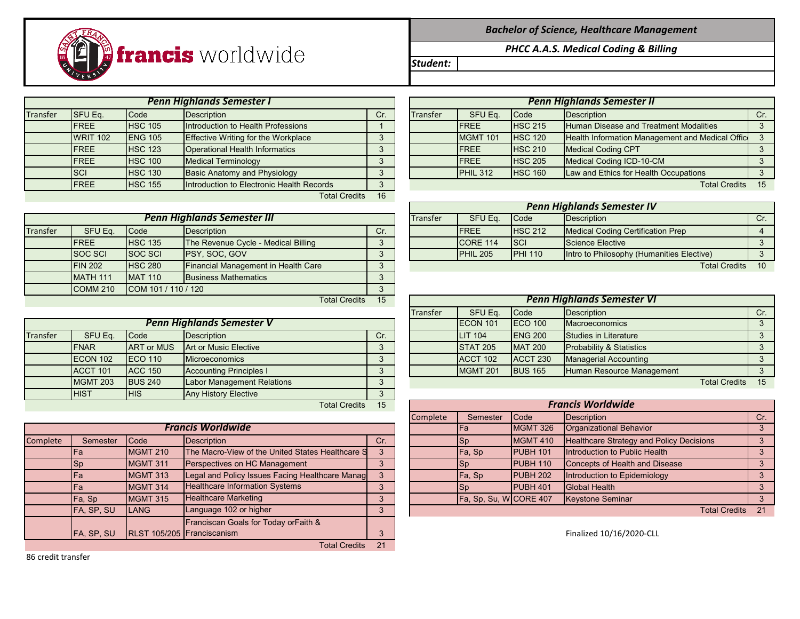

|          |                 |                | <b>Penn Highlands Semester I</b>           |     | <b>Penn Highlands Semester II</b> |                 |                |                                                 |     |
|----------|-----------------|----------------|--------------------------------------------|-----|-----------------------------------|-----------------|----------------|-------------------------------------------------|-----|
| Transfer | <b>SFU Eq.</b>  | Code           | Description                                | Cr. | <b>Transfer</b>                   | SFU Eq.         | <b>Code</b>    | Description                                     | Cr. |
|          | <b>IFREE</b>    | <b>HSC 105</b> | Introduction to Health Professions         |     |                                   | <b>IFREE</b>    | <b>HSC 215</b> | <b>Human Disease and Treatment Modalities</b>   |     |
|          | <b>WRIT 102</b> | <b>ENG 105</b> | <b>Effective Writing for the Workplace</b> |     |                                   | <b>MGMT 101</b> | <b>HSC 120</b> | Health Information Management and Medical Offic |     |
|          | <b>FREE</b>     | <b>HSC 123</b> | <b>Operational Health Informatics</b>      |     |                                   | <b>IFREE</b>    | <b>HSC 210</b> | <b>Medical Coding CPT</b>                       |     |
|          | <b>FREE</b>     | <b>HSC 100</b> | <b>Medical Terminology</b>                 |     |                                   | <b>IFREE</b>    | <b>HSC 205</b> | Medical Coding ICD-10-CM                        |     |
|          | <b>SCI</b>      | <b>HSC 130</b> | <b>Basic Anatomy and Physiology</b>        |     |                                   | <b>PHIL 312</b> | <b>HSC 160</b> | Law and Ethics for Health Occupations           |     |
|          | <b>IFREE</b>    | <b>HSC 155</b> | Introduction to Electronic Health Records  |     |                                   |                 |                | Total Credits 15                                |     |
|          |                 |                | <b>Total Credits</b>                       | 16  |                                   |                 |                |                                                 |     |

|          |                 |                      | <b>Penn Highlands Semester III</b>         |     | <b>Transfer</b> | SFU Eq.             | Code            | Description                               |       |
|----------|-----------------|----------------------|--------------------------------------------|-----|-----------------|---------------------|-----------------|-------------------------------------------|-------|
| Transfer | SFU Eq.         | <b>Code</b>          | Description                                | Cr. |                 | <b>IFREE</b>        | <b>HSC 212</b>  | Medical Coding Certification Prep         |       |
|          | <b>IFREE</b>    | <b>HSC 135</b>       | The Revenue Cycle - Medical Billing        |     |                 | ICORE 114           | <b>SCI</b>      | Science Elective                          |       |
|          | <b>SOC SCI</b>  | <b>SOC SCI</b>       | <b>IPSY, SOC, GOV</b>                      |     |                 | PHIL <sub>205</sub> | <b>IPHI 110</b> | Intro to Philosophy (Humanities Elective) |       |
|          | <b>FIN 202</b>  | <b>HSC 280</b>       | <b>Financial Management in Health Care</b> |     |                 |                     |                 | <b>Total Credits</b>                      | $-10$ |
|          | <b>MATH 111</b> | <b>MAT 110</b>       | <b>Business Mathematics</b>                |     |                 |                     |                 |                                           |       |
|          | <b>COMM 210</b> | ICOM 101 / 110 / 120 |                                            |     |                 |                     |                 |                                           |       |
|          |                 |                      | <b>Total Credits</b>                       | 15  |                 |                     |                 | <b>Penn Highlands Semester VI</b>         |       |

|          |                                                          |                   | Penn Highlands Semester V         |     |  |  | ECON 101        | <b>ECO 100</b>  | <b>Macroeconomics</b>               |                         |  |
|----------|----------------------------------------------------------|-------------------|-----------------------------------|-----|--|--|-----------------|-----------------|-------------------------------------|-------------------------|--|
| Transfer | SFU Eq.                                                  | <b>Code</b>       | <b>Description</b>                | Cr. |  |  | <b>LIT 104</b>  | <b>IENG 200</b> | Studies in Literature               |                         |  |
|          | <b>IFNAR</b>                                             | <b>ART or MUS</b> | Art or Music Elective             |     |  |  | <b>STAT 205</b> | <b>MAT 200</b>  | <b>Probability &amp; Statistics</b> |                         |  |
|          | ECON 102                                                 | <b>IECO 110</b>   | <b>Microeconomics</b>             |     |  |  | ACCT 102        | ACCT 230        | <b>Managerial Accounting</b>        |                         |  |
|          | <b>ACCT 101</b>                                          | <b>ACC 150</b>    | <b>Accounting Principles I</b>    |     |  |  | <b>MGMT 201</b> | <b>BUS 165</b>  | Human Resource Management           |                         |  |
|          | <b>MGMT 203</b>                                          | <b>BUS 240</b>    | <b>Labor Management Relations</b> |     |  |  |                 |                 |                                     | <b>Total Credits</b> 15 |  |
|          | <b>HIST</b><br><b>Any History Elective</b><br><b>HIS</b> |                   |                                   |     |  |  |                 |                 |                                     |                         |  |
|          |                                                          |                   | <b>Total Credits</b>              | 15  |  |  |                 |                 | <b>Francis Worldwide</b>            |                         |  |

|          |            |                 | <b>Francis Worldwide</b>                         |     |  | <b>IFa</b>            | <b>MGMT 326</b> | Organizational Behavior                         |  |
|----------|------------|-----------------|--------------------------------------------------|-----|--|-----------------------|-----------------|-------------------------------------------------|--|
| Complete | Semester   | <b>Code</b>     | Description                                      | Cr. |  | Sp                    | <b>MGMT 410</b> | <b>Healthcare Strategy and Policy Decisions</b> |  |
|          | IFa        | <b>MGMT 210</b> | The Macro-View of the United States Healthcare S |     |  | Fa, Sp                | PUBH 101        | Introduction to Public Health                   |  |
|          | <b>Sp</b>  | <b>MGMT 311</b> | Perspectives on HC Management                    |     |  | Sp                    | <b>PUBH 110</b> | <b>Concepts of Health and Disease</b>           |  |
|          | IFa        | <b>MGMT 313</b> | Legal and Policy Issues Facing Healthcare Manag  |     |  | Fa, Sp                | PUBH 202        | Introduction to Epidemiology                    |  |
|          | lFa        | <b>MGMT 314</b> | Healthcare Information Systems                   |     |  | <b>Sp</b>             | <b>PUBH 401</b> | <b>Global Health</b>                            |  |
|          | Fa, Sp     | <b>MGMT 315</b> | <b>Healthcare Marketing</b>                      |     |  | Fa, Sp, Su, WCORE 407 |                 | <b>Keystone Seminar</b>                         |  |
|          | FA, SP, SU | <b>LANG</b>     | Language 102 or higher                           |     |  |                       |                 | Total Credits 2                                 |  |
|          |            |                 | Franciscan Goals for Today or Faith &            |     |  |                       |                 |                                                 |  |
|          | FA, SP, SU |                 | RLST 105/205 Franciscanism                       | 3   |  |                       |                 | Finalized 10/16/2020-CLL                        |  |
|          |            |                 | <b>Total Credits</b>                             | 21  |  |                       |                 |                                                 |  |

FREE HSC 215 Human Disease and Treatment Modalities 3 MGMT 101 | HSC 120 | Health Information Management and Medical Offic 3 FREE HSC 210 Medical Coding CPT 3 3 *Penn Highlands Semester I Penn Highlands Semester II*

*Bachelor of Science, Healthcare Management PHCC A.A.S. Medical Coding & Billing*

*Student:*

|                 |                 |                                            |     | Penn Highlands Semester IV |                  |                |                                                  |     |  |  |  |  |
|-----------------|-----------------|--------------------------------------------|-----|----------------------------|------------------|----------------|--------------------------------------------------|-----|--|--|--|--|
|                 |                 | <b>Penn Highlands Semester III</b>         |     | <b>Transfer</b>            | SFU Eq.          | <b>I</b> Code  | Description                                      | Cr. |  |  |  |  |
| SFU Eq.         | <b>Code</b>     | <b>IDescription</b>                        | UI. |                            | <b>IFREE</b>     | <b>HSC 212</b> | Medical Coding Certification Prep                |     |  |  |  |  |
| <b>FREE</b>     | <b>HSC 135</b>  | <b>The Revenue Cycle - Medical Billing</b> |     |                            | ICORE 114        | <b>ISCI</b>    | Science Elective                                 |     |  |  |  |  |
| SOC SCI         | <b>ISOC SCI</b> | <b>IPSY, SOC, GOV</b>                      |     |                            | <b>IPHIL 205</b> | <b>PHI 110</b> | <b>Intro to Philosophy (Humanities Elective)</b> |     |  |  |  |  |
| <b>CINI 202</b> | LFC 280         | <b>Einancial Management in Hoalth Care</b> |     |                            |                  |                | Total Crodite                                    | 10  |  |  |  |  |

| ---------       |                   |                                |     |                                   |                 |                 |                                     |    |     |  |  |  |
|-----------------|-------------------|--------------------------------|-----|-----------------------------------|-----------------|-----------------|-------------------------------------|----|-----|--|--|--|
|                 |                   | <b>Total Credits</b>           | 15  | <b>Penn Highlands Semester VI</b> |                 |                 |                                     |    |     |  |  |  |
|                 |                   |                                |     | <b>Transfer</b>                   | SFU Eq.         | <b>Code</b>     | Description                         |    | Cr. |  |  |  |
|                 |                   | Penn Highlands Semester V      |     |                                   | <b>ECON 101</b> | <b>IECO 100</b> | <b>Macroeconomics</b>               |    |     |  |  |  |
| SFU Eq.         | Code              | <b>Description</b>             | Cr. |                                   | <b>LIT 104</b>  | <b>IENG 200</b> | <b>Studies in Literature</b>        |    |     |  |  |  |
| <b>FNAR</b>     | <b>ART or MUS</b> | Art or Music Elective          |     |                                   | <b>STAT 205</b> | <b>MAT 200</b>  | <b>Probability &amp; Statistics</b> |    |     |  |  |  |
| <b>ECON 102</b> | <b>IECO 110</b>   | <b>Microeconomics</b>          |     |                                   | <b>ACCT 102</b> | ACCT 230        | <b>Managerial Accounting</b>        |    |     |  |  |  |
| <b>ACCT 101</b> | <b>ACC 150</b>    | <b>Accounting Principles I</b> |     |                                   | <b>MGMT 201</b> | <b>BUS 165</b>  | Human Resource Management           |    |     |  |  |  |
| MCMT 202        | E1212.240         | Labor Managament Polations     |     |                                   |                 |                 | Total Crodite                       | 15 |     |  |  |  |

|            |                 | <b>Total Credits</b>                             | 15  | <b>Francis Worldwide</b> |                       |                     |                                                 |     |  |  |
|------------|-----------------|--------------------------------------------------|-----|--------------------------|-----------------------|---------------------|-------------------------------------------------|-----|--|--|
|            |                 |                                                  |     | <b>Complete</b>          | Semester              | Code                | <b>Description</b>                              | Cr. |  |  |
|            |                 | <b>Francis Worldwide</b>                         |     |                          | lFa                   | <b>MGMT 326</b>     | Organizational Behavior                         |     |  |  |
| Semester   | <b>Code</b>     | <b>Description</b>                               | Cr. |                          | <b>Sp</b>             | <b>MGMT 410</b>     | <b>Healthcare Strategy and Policy Decisions</b> |     |  |  |
| Fa         | <b>MGMT 210</b> | The Macro-View of the United States Healthcare S |     |                          | Fa, Sp                | <b>PUBH 101</b>     | Introduction to Public Health                   |     |  |  |
| Sp         | MGMT 311        | Perspectives on HC Management                    |     |                          | <b>ISp</b>            | PUBH 110            | Concepts of Health and Disease                  |     |  |  |
| Fa         | <b>MGMT 313</b> | Legal and Policy Issues Facing Healthcare Manag  |     |                          | Fa, Sp                | <b>PUBH 202</b>     | Introduction to Epidemiology                    |     |  |  |
| Fa         | MGMT 314        | <b>Healthcare Information Systems</b>            |     |                          | ISp                   | PUBH <sub>401</sub> | <b>Global Health</b>                            |     |  |  |
| Fa, Sp     | <b>MGMT 315</b> | <b>Healthcare Marketing</b>                      |     |                          | Fa, Sp, Su, WCORE 407 |                     | Keystone Seminar                                |     |  |  |
| FA, SP, SU | <b>LANG</b>     | Language 102 or higher                           |     |                          |                       |                     | <b>Total Credits</b>                            | 21  |  |  |

86 credit transfer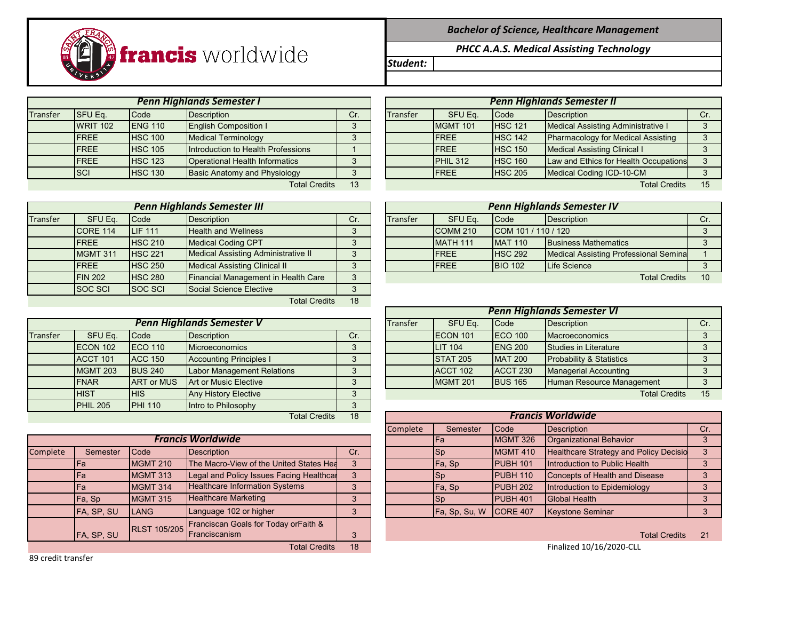## *Bachelor of Science, Healthcare Management*

*PHCC A.A.S. Medical Assisting Technology*

*Student:*

*Penn Highlands Semester I Penn Highlands Semester II*

| <b>Transfer</b> | <b>SFU Eq.</b>  | Code            | Description                        | Cr. | Transfer | SFU Eq.          | <b>Code</b>    | Description                               | Cr. |
|-----------------|-----------------|-----------------|------------------------------------|-----|----------|------------------|----------------|-------------------------------------------|-----|
|                 | <b>WRIT 102</b> | <b>IENG 110</b> | <b>English Composition I</b>       |     |          | <b>IMGMT 101</b> | <b>HSC 121</b> | Medical Assisting Administrative I        |     |
|                 | <b>IFREE</b>    | <b>HSC 100</b>  | Medical Terminology                |     |          | <b>FREE</b>      | <b>HSC 142</b> | <b>Pharmacology for Medical Assisting</b> |     |
|                 | <b>IFREE</b>    | <b>HSC 105</b>  | Introduction to Health Professions |     |          | <b>FREE</b>      | <b>HSC 150</b> | <b>Medical Assisting Clinical I</b>       |     |
|                 | <b>IFREE</b>    | <b>HSC 123</b>  | Operational Health Informatics     |     |          | PHIL 312         | <b>HSC 160</b> | Law and Ethics for Health Occupations     |     |
|                 | <b>SCI</b>      | <b>HSC 130</b>  | Basic Anatomy and Physiology       |     |          | <b>FREE</b>      | <b>HSC 205</b> | Medical Coding ICD-10-CM                  |     |
|                 |                 |                 | <b>Total Credits</b>               | 13  |          |                  |                | <b>Total Credits</b>                      | 15  |

|          | <b>ISCI</b><br><b>HSC 130</b><br><b>Basic Anatomy and Physiology</b> |                |                                            |     |          | <b>IFREE</b>        | <b>IHSC 205</b>     | Medical Coding ICD-10-CM                     |     |
|----------|----------------------------------------------------------------------|----------------|--------------------------------------------|-----|----------|---------------------|---------------------|----------------------------------------------|-----|
|          |                                                                      |                | <b>Total Credits</b>                       | 13  |          |                     |                     | <b>Total Credits</b>                         | 15  |
|          |                                                                      |                |                                            |     |          |                     |                     |                                              |     |
|          |                                                                      |                | <b>Penn Highlands Semester III</b>         |     |          |                     |                     | <b>Penn Highlands Semester IV</b>            |     |
| Transfer | SFU Eq.                                                              | <b>Code</b>    | <b>Description</b>                         | Cr. | Transfer | SFU Eq.             | <b>Code</b>         | Description                                  | Cr. |
|          | CORE 114                                                             | <b>LIF 111</b> | <b>Health and Wellness</b>                 |     |          | COMM <sub>210</sub> | COM 101 / 110 / 120 |                                              |     |
|          | <b>IFREE</b>                                                         | <b>HSC 210</b> | <b>Medical Coding CPT</b>                  |     |          | MATH 111            | <b>MAT 110</b>      | <b>Business Mathematics</b>                  |     |
|          | MGMT 311                                                             | <b>HSC 221</b> | <b>Medical Assisting Administrative II</b> |     |          | <b>FREE</b>         | <b>HSC 292</b>      | <b>Medical Assisting Professional Semina</b> |     |
|          | <b>IFREE</b>                                                         | <b>HSC 250</b> | <b>Medical Assisting Clinical II</b>       |     |          | <b>IFREE</b>        | <b>BIO 102</b>      | Life Science                                 |     |
|          | <b>FIN 202</b>                                                       | <b>HSC 280</b> | Financial Management in Health Care        | 3   |          |                     |                     | <b>Total Credits</b>                         | 10  |

|                 |                 | Penn Highlands Semester I             |     | Penn Highlands Semester II |                 |                |                                           |     |  |  |
|-----------------|-----------------|---------------------------------------|-----|----------------------------|-----------------|----------------|-------------------------------------------|-----|--|--|
| SFU Eq.         | Code            | Description                           | Cr. | <b>Transfer</b>            | SFU Eq.         | <b>Code</b>    | Description                               | Cr. |  |  |
| <b>WRIT 102</b> | <b>IENG 110</b> | <b>English Composition I</b>          |     |                            | <b>MGMT 101</b> | <b>HSC 121</b> | Medical Assisting Administrative I        |     |  |  |
| <b>FREE</b>     | <b>HSC 100</b>  | <b>Medical Terminology</b>            |     |                            | <b>IFREE</b>    | <b>HSC 142</b> | <b>Pharmacology for Medical Assisting</b> | っ   |  |  |
| <b>FREE</b>     | <b>HSC 105</b>  | Introduction to Health Professions    |     |                            | <b>IFREE</b>    | <b>HSC 150</b> | <b>Medical Assisting Clinical I</b>       |     |  |  |
| <b>FREE</b>     | <b>HSC 123</b>  | <b>Operational Health Informatics</b> |     |                            | <b>PHIL 312</b> | <b>HSC 160</b> | Law and Ethics for Health Occupations     |     |  |  |
| <b>SCI</b>      | <b>HSC 130</b>  | Basic Anatomy and Physiology          |     |                            | <b>IFREE</b>    | <b>HSC 205</b> | Medical Coding ICD-10-CM                  |     |  |  |
|                 |                 | <b>Total Credits</b>                  | 13  |                            |                 |                | <b>Total Credits</b>                      |     |  |  |

| ter III                |     | <b>Penn Highlands Semester IV</b> |                 |                     |                            |  |  |  |
|------------------------|-----|-----------------------------------|-----------------|---------------------|----------------------------|--|--|--|
|                        | Cr. | <b>Transfer</b>                   | SFU Eq.         | Code                | <b>Description</b>         |  |  |  |
| ellness                | 3   |                                   | <b>COMM 210</b> | COM 101 / 110 / 120 |                            |  |  |  |
| g CPT                  | 3   |                                   | <b>MATH 111</b> | <b>MAT 110</b>      | <b>Business Mathemat</b>   |  |  |  |
| ting Administrative II | 3   |                                   | <b>FREE</b>     | <b>HSC 292</b>      | <b>Medical Assisting P</b> |  |  |  |
| ting Clinical II       | 3   |                                   | <b>FREE</b>     | <b>BIO 102</b>      | <b>Life Science</b>        |  |  |  |
| agement in Health Care | 3   |                                   |                 |                     |                            |  |  |  |
|                        |     |                                   |                 |                     |                            |  |  |  |

|                 |                   |                                   |     | <b>Penn Highlands Semester VI</b> |                  |                 |                                     |     |  |  |  |
|-----------------|-------------------|-----------------------------------|-----|-----------------------------------|------------------|-----------------|-------------------------------------|-----|--|--|--|
|                 |                   | <b>Penn Highlands Semester V</b>  |     | Transfer                          | SFU Eq.          | <b>I</b> Code   | <b>Description</b>                  | Cr. |  |  |  |
| SFU Eq.         | <b>Code</b>       | <b>Description</b>                | Cr. |                                   | <b>IECON 101</b> | $ECO$ 100       | <b>Macroeconomics</b>               |     |  |  |  |
| <b>ECON 102</b> | $ECO$ 110         | <b>Microeconomics</b>             |     |                                   | <b>LIT 104</b>   | <b>ENG 200</b>  | Studies in Literature               |     |  |  |  |
| <b>ACCT 101</b> | <b>ACC 150</b>    | <b>Accounting Principles I</b>    |     |                                   | <b>STAT 205</b>  | <b>MAT 200</b>  | <b>Probability &amp; Statistics</b> |     |  |  |  |
| <b>MGMT 203</b> | <b>BUS 240</b>    | <b>Labor Management Relations</b> |     |                                   | <b>ACCT 102</b>  | <b>ACCT 230</b> | <b>Managerial Accounting</b>        |     |  |  |  |
| <b>FNAR</b>     | <b>ART or MUS</b> | Art or Music Elective             |     |                                   | <b>MGMT 201</b>  | <b>BUS 165</b>  | Human Resource Management           |     |  |  |  |
| .               | .                 |                                   |     |                                   |                  |                 |                                     |     |  |  |  |

Total Credits 15

|            |                 | <b>Total Credits</b>                     | 18  |  | <b>Francis Worldwide</b> |                        |                 |                                        |     |  |  |
|------------|-----------------|------------------------------------------|-----|--|--------------------------|------------------------|-----------------|----------------------------------------|-----|--|--|
|            |                 |                                          |     |  | Complete                 | Semester               | <b>Code</b>     | Description                            | Cr. |  |  |
|            |                 | <b>Francis Worldwide</b>                 |     |  |                          | IFa                    | <b>MGMT 326</b> | Organizational Behavior                |     |  |  |
| Semester   | <b>Code</b>     | Description                              | Cr. |  |                          | <b>Sp</b>              | <b>MGMT 410</b> | Healthcare Strategy and Policy Decisio |     |  |  |
| Fa         | <b>MGMT 210</b> | The Macro-View of the United States Hea  | 3   |  |                          | Fa, Sp                 | PUBH 101        | Introduction to Public Health          |     |  |  |
| Fa         | <b>MGMT 313</b> | Legal and Policy Issues Facing Healthcar | 3   |  |                          | <b>Sp</b>              | PUBH 110        | Concepts of Health and Disease         |     |  |  |
| Fa         | MGMT 314        | <b>Healthcare Information Systems</b>    | 3   |  |                          | Fa, Sp                 | PUBH 202        | Introduction to Epidemiology           |     |  |  |
| Fa, Sp     | MGMT 315        | <b>Healthcare Marketing</b>              | 3   |  |                          | <b>Sp</b>              | PUBH 401        | <b>Global Health</b>                   |     |  |  |
| FA, SP, SU | LANG            | Language 102 or higher                   | 3   |  |                          | Fa, Sp, Su, W CORE 407 |                 | <b>Keystone Seminar</b>                |     |  |  |
|            |                 |                                          |     |  |                          |                        |                 |                                        |     |  |  |

| <b>Total Credits</b><br>21 |
|----------------------------|
|----------------------------|

Finalized  $10/16/2020$ -CLL

SOC SCI SOC SCI Social Science Elective Total Credits 18

|          |                                                                     |                   | <b>Penn Highlands Semester V</b>  |     |  | Transfer | SFU Eq.          | <b>Code</b>     | Description                         |  |
|----------|---------------------------------------------------------------------|-------------------|-----------------------------------|-----|--|----------|------------------|-----------------|-------------------------------------|--|
| Transfer | SFU Eq.                                                             | Code              | <b>Description</b>                | Cr. |  |          | <b>IECON 101</b> | <b>IECO 100</b> | <b>Macroeconomics</b>               |  |
|          | ECON 102                                                            | <b>IECO 110</b>   | <b>Microeconomics</b>             | s.  |  |          | <b>LIT 104</b>   | <b>ENG 200</b>  | Studies in Literature               |  |
|          | <b>ACCT 101</b><br><b>ACC 150</b><br><b>Accounting Principles I</b> |                   |                                   |     |  |          | <b>STAT 205</b>  | <b>MAT 200</b>  | <b>Probability &amp; Statistics</b> |  |
|          | <b>MGMT 203</b>                                                     | <b>BUS 240</b>    | <b>Labor Management Relations</b> | 3   |  |          | <b>ACCT 102</b>  | <b>ACCT 230</b> | <b>Managerial Accounting</b>        |  |
|          | <b>IFNAR</b>                                                        | <b>ART or MUS</b> | <b>Art or Music Elective</b>      | 3   |  |          | <b>MGMT 201</b>  | <b>BUS 165</b>  | Human Resource Management           |  |
|          | <b>HIST</b>                                                         | <b>HIS</b>        | <b>Any History Elective</b>       | 3   |  |          |                  |                 | <b>Total Credits</b>                |  |
|          | <b>PHIL 205</b>                                                     | <b>PHI 110</b>    | Intro to Philosophy               | 3   |  |          |                  |                 |                                     |  |
|          |                                                                     |                   | <b>Total Credits</b>              | 18  |  |          |                  |                 | <b>Francis Worldwide</b>            |  |

|          |            |                 | <b>Francis Worldwide</b>                          |     |  | <b>IFa</b>             | <b>MGMT 326</b>  | Organizational Behavior                |    |
|----------|------------|-----------------|---------------------------------------------------|-----|--|------------------------|------------------|----------------------------------------|----|
| Complete | Semester   | <b>Code</b>     | <b>Description</b>                                | Cr. |  | <b>Sp</b>              | <b>MGMT 410</b>  | Healthcare Strategy and Policy Decisio |    |
|          | <b>IFa</b> | <b>MGMT 210</b> | The Macro-View of the United States Hea           | 3   |  | Fa, Sp                 | <b>IPUBH 101</b> | Introduction to Public Health          |    |
|          | <b>IFa</b> | <b>MGMT 313</b> | Legal and Policy Issues Facing Healthcal          | 3   |  | <b>Sp</b>              | PUBH 110         | Concepts of Health and Disease         |    |
|          | <b>IFa</b> | MGMT 314        | <b>Healthcare Information Systems</b>             | 3   |  | Fa, Sp                 | <b>PUBH 202</b>  | Introduction to Epidemiology           |    |
|          | Fa, Sp     | MGMT 315        | <b>Healthcare Marketing</b>                       | 3   |  | <b>I</b> Sp            | <b>PUBH 401</b>  | <b>Global Health</b>                   |    |
|          | FA, SP, SU | <b>LANG</b>     | Language 102 or higher                            | 3   |  | Fa, Sp, Su, W CORE 407 |                  | <b>Keystone Seminar</b>                |    |
|          |            |                 | RLST 105/205 Franciscan Goals for Today orFaith & |     |  |                        |                  |                                        |    |
|          | FA, SP, SU |                 |                                                   |     |  |                        |                  | <b>Total Credits</b>                   | 21 |
|          |            |                 | <b>Total Credits</b>                              | 18  |  |                        |                  | Finalized 10/16/2020-CLL               |    |

89 credit transfer

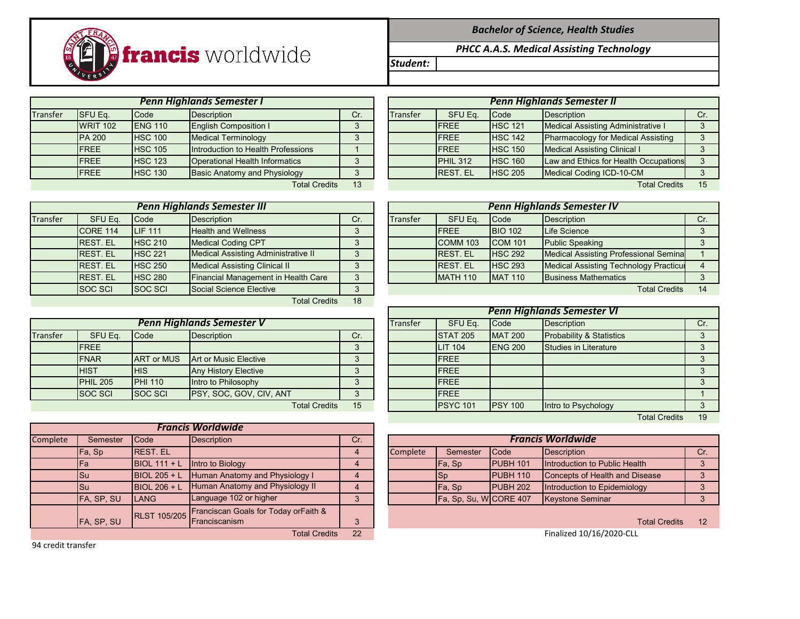*Bachelor of Science, Health Studies*

*PHCC A.A.S. Medical Assisting Technology*

*Student:*

WRIT 102 ENG 110 English Composition I 3 PA 200 HSC 100 Medical Terminology **FREE HSC 100** HSC 100  $\frac{1}{3}$ FREE HSC 105 Introduction to Health Professions 1 FREE HSC 123 Operational Health Informatics 13 FREE HSC 130 Basic Anatomy and Physiology 3 *Penn Highlands Semester I Penn Highlands Semester II*

|          |                            |                | <b>Penn Highlands Semester I</b>    |     |  | <b>Penn Highlands Semester II</b> |                 |                |                                           |  |  |
|----------|----------------------------|----------------|-------------------------------------|-----|--|-----------------------------------|-----------------|----------------|-------------------------------------------|--|--|
| Transfer | <b>SFU Eq.</b>             | Code           | Description                         | Cr. |  | <b>Transfer</b>                   | SFU Eq.         | Code           | Description                               |  |  |
|          | <b>WRIT 102</b>            | <b>ENG 110</b> | <b>English Composition I</b>        |     |  |                                   | <b>IFREE</b>    | <b>HSC 121</b> | <b>Medical Assisting Administrative I</b> |  |  |
|          | <b>PA 200</b>              | <b>HSC 100</b> | <b>Medical Terminology</b>          |     |  |                                   | <b>IFREE</b>    | <b>HSC 142</b> | <b>Pharmacology for Medical Assisting</b> |  |  |
|          | <b>FREE</b>                | <b>HSC 105</b> | Introduction to Health Professions  |     |  |                                   | <b>IFREE</b>    | <b>HSC 150</b> | <b>Medical Assisting Clinical I</b>       |  |  |
|          | <b>FREE</b>                | <b>HSC 123</b> | Operational Health Informatics      |     |  |                                   | PHIL 312        | <b>HSC 160</b> | Law and Ethics for Health Occupations     |  |  |
|          | <b>FREE</b>                | <b>HSC 130</b> | <b>Basic Anatomy and Physiology</b> |     |  |                                   | <b>REST. EL</b> | <b>HSC 205</b> | Medical Coding ICD-10-CM                  |  |  |
|          | <b>Total Credits</b><br>13 |                |                                     |     |  |                                   |                 |                | <b>Total Credits</b>                      |  |  |

|          | <b>Penn Highlands Semester III</b> |                |                                            |              |  |          | <b>Penn Highlands Semester IV</b> |                |                                              |     |
|----------|------------------------------------|----------------|--------------------------------------------|--------------|--|----------|-----------------------------------|----------------|----------------------------------------------|-----|
| Transfer | SFU Eq.                            | Code           | <b>Description</b>                         | Cr.          |  | Transfer | SFU Eq.                           | <b>Code</b>    | Description                                  | Cr. |
|          | CORE 114                           | <b>LIF 111</b> | <b>Health and Wellness</b>                 | っ            |  |          | <b>IFREE</b>                      | <b>BIO 102</b> | Life Science                                 |     |
|          | <b>REST. EL</b>                    | <b>HSC 210</b> | <b>Medical Coding CPT</b>                  | $\Omega$     |  |          | COMM 103                          | <b>COM 101</b> | <b>Public Speaking</b>                       |     |
|          | <b>REST. EL</b>                    | <b>HSC 221</b> | <b>Medical Assisting Administrative II</b> | $\Omega$     |  |          | <b>REST. EL</b>                   | <b>HSC 292</b> | <b>Medical Assisting Professional Semina</b> |     |
|          | <b>REST. EL</b>                    | <b>HSC 250</b> | <b>Medical Assisting Clinical II</b>       | $\Omega$     |  |          | <b>IREST. EL</b>                  | <b>HSC 293</b> | Medical Assisting Technology Practicul       |     |
|          | <b>REST. EL</b>                    | <b>HSC 280</b> | Financial Management in Health Care        | $\mathbf{r}$ |  |          | <b>MATH 110</b>                   | <b>MAT 110</b> | <b>Business Mathematics</b>                  |     |
|          | <b>SOC SCI</b>                     | <b>SOC SCI</b> | Social Science Elective                    | $\circ$      |  |          |                                   |                | <b>Total Credits</b>                         | 14  |
|          |                                    |                | $T - 1 = 1$ $Q_{max}$ and $T = 1$          | $\sqrt{2}$   |  |          |                                   |                |                                              |     |

Total Credits 18

|                 |                     |                   | <b>Penn Highlands Semester V</b> |     | Transfer | SFU Eq.          | <b>Code</b>     | Description                         |  |
|-----------------|---------------------|-------------------|----------------------------------|-----|----------|------------------|-----------------|-------------------------------------|--|
| <b>Transfer</b> | SFU Eq.             | Code              | <b>Description</b>               | Cr. |          | <b>STAT 205</b>  | <b>MAT 200</b>  | <b>Probability &amp; Statistics</b> |  |
|                 | <b>FREE</b>         |                   |                                  |     |          | <b>LIT 104</b>   | <b>IENG 200</b> | Studies in Literature               |  |
|                 | <b>FNAR</b>         | <b>ART or MUS</b> | Art or Music Elective            |     |          | <b>FREE</b>      |                 |                                     |  |
|                 | <b>HIST</b>         | <b>IHIS</b>       | <b>Any History Elective</b>      |     |          | <b>IFREE</b>     |                 |                                     |  |
|                 | PHIL <sub>205</sub> | <b>PHI 110</b>    | Intro to Philosophy              |     |          | <b>IFREE</b>     |                 |                                     |  |
|                 | <b>SOC SCI</b>      | <b>SOC SCI</b>    | <b>PSY, SOC, GOV, CIV, ANT</b>   |     |          | <b>FREE</b>      |                 |                                     |  |
|                 |                     |                   | <b>Total Credits</b>             | 15  |          | <b>IPSYC 101</b> | <b>IPSY 100</b> | Intro to Psychology                 |  |

|          |            |                 | <b>Francis Worldwide</b>                          |     |          |                       |             |                                |    |
|----------|------------|-----------------|---------------------------------------------------|-----|----------|-----------------------|-------------|--------------------------------|----|
| Complete | Semester   | <b>Code</b>     | Description                                       | Cr. |          |                       |             | <b>Francis Worldwide</b>       |    |
|          | Fa, Sp     | <b>REST. EL</b> |                                                   |     | Complete | Semester              | <b>Code</b> | Description                    | Cr |
|          | Fa         | $BIOL 111 + L$  | Intro to Biology                                  |     |          | Fa, Sp                | PUBH 101    | Introduction to Public Health  |    |
|          | <b>Su</b>  | BIOL $205 + L$  | Human Anatomy and Physiology I                    |     |          | <b>Sp</b>             | PUBH 110    | Concepts of Health and Disease |    |
|          | <b>Su</b>  | $BIOL 206 + L$  | Human Anatomy and Physiology II                   |     |          | Fa, Sp                | PUBH 202    | Introduction to Epidemiology   |    |
|          | FA, SP, SU | <b>LANG</b>     | Language 102 or higher                            | 3   |          | Fa, Sp, Su, WCORE 407 |             | <b>Keystone Seminar</b>        |    |
|          |            |                 | RLST 105/205 Franciscan Goals for Today orFaith & |     |          |                       |             |                                |    |
|          | FA, SP, SU |                 |                                                   |     |          |                       |             | <b>Total Credits</b>           | 12 |
|          |            |                 | <b>Total Credits</b>                              | 22  |          |                       |             | Finalized 10/16/2020-CLL       |    |

|                 |                   |                                  |     |          |                 |                 | <b>Penn Highlands Semester VI</b>   |                      |     |
|-----------------|-------------------|----------------------------------|-----|----------|-----------------|-----------------|-------------------------------------|----------------------|-----|
|                 |                   | <b>Penn Highlands Semester V</b> |     | Transfer | SFU Eq.         | <b>Code</b>     | Description                         |                      | Cr. |
| SFU Eq.         | Code              | <b>Description</b>               | Cr. |          | <b>STAT 205</b> | <b>MAT 200</b>  | <b>Probability &amp; Statistics</b> |                      |     |
| <b>FREE</b>     |                   |                                  |     |          | <b>LIT 104</b>  | <b>IENG 200</b> | Studies in Literature               |                      |     |
| <b>FNAR</b>     | <b>ART or MUS</b> | <b>Art or Music Elective</b>     |     |          | <b>IFREE</b>    |                 |                                     |                      |     |
| <b>HIST</b>     | <b>HIS</b>        | <b>Any History Elective</b>      |     |          | <b>IFREE</b>    |                 |                                     |                      |     |
| <b>PHIL 205</b> | <b>PHI 110</b>    | Intro to Philosophy              |     |          | <b>IFREE</b>    |                 |                                     |                      |     |
| <b>SOC SCI</b>  | <b>SOC SCI</b>    | PSY, SOC, GOV, CIV, ANT          |     |          | <b>IFREE</b>    |                 |                                     |                      |     |
|                 |                   | <b>Total Credits</b>             | 15  |          | <b>PSYC 101</b> | <b>PSY 100</b>  | Intro to Psychology                 |                      |     |
|                 |                   |                                  |     |          |                 |                 |                                     | <b>Total Credits</b> | 19  |

| Semester   | <b>I</b> Code    | <b>Description</b>                                              | Cr. |  |          |                        |                  | <b>Francis Worldwide</b>       |  |  |  |
|------------|------------------|-----------------------------------------------------------------|-----|--|----------|------------------------|------------------|--------------------------------|--|--|--|
| Fa, Sp     | <b>IREST. EL</b> |                                                                 |     |  | Complete | Semester               | <b>Code</b>      | <b>Description</b>             |  |  |  |
| Fa         |                  | $\left  \right $ BIOL 111 + L $\left  \right $ Intro to Biology |     |  |          | Fa, Sp                 | <b>IPUBH 101</b> | Introduction to Public Health  |  |  |  |
| Su         |                  | $\vert$ BIOL 205 + L $\vert$ Human Anatomy and Physiology I     |     |  |          | ISp                    | <b>IPUBH 110</b> | Concepts of Health and Disease |  |  |  |
| Su         |                  | $\vert$ BIOL 206 + L $\vert$ Human Anatomy and Physiology II    |     |  |          | IFa. Sp                | <b>IPUBH 202</b> | Introduction to Epidemiology   |  |  |  |
| FA. SP. SU | LANG             | Language 102 or higher                                          |     |  |          | Fa, Sp, Su, WICORE 407 |                  | <b>Keystone Seminar</b>        |  |  |  |
|            |                  |                                                                 |     |  |          |                        |                  |                                |  |  |  |

Finalized 10/16/2020-CLL

94 credit transfer

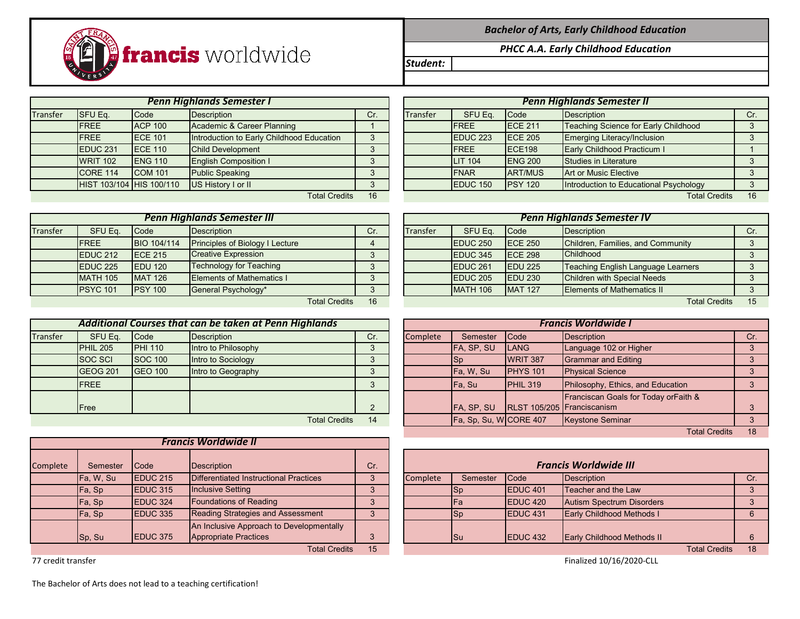

*Bachelor of Arts, Early Childhood Education*

*PHCC A.A. Early Childhood Education*

*Student:*

Transfer SFUEq. Code Description Cr. I Cr. Transfer SFUEq. Code Description Cr. Cr. Com *Penn Highlands Semester I Penn Highlands Semester II*

|                 |                     | <b>Penn Highlands Semester III</b> |                                        |     |          | Pen                 |                 |
|-----------------|---------------------|------------------------------------|----------------------------------------|-----|----------|---------------------|-----------------|
| <b>Transfer</b> | SFU Eq.             | Code                               | <b>Description</b>                     | Cr. | Transfer | SFU Eq.             | Code            |
|                 | <b>FREE</b>         | BIO 104/114                        | <b>Principles of Biology I Lecture</b> |     |          | EDUC <sub>250</sub> | <b>ECE 250</b>  |
|                 | EDUC <sub>212</sub> | <b>IECE 215</b>                    | <b>Creative Expression</b>             | 3   |          | <b>EDUC 345</b>     | <b>IECE 298</b> |
|                 | EDUC <sub>225</sub> | <b>EDU 120</b>                     | <b>Technology for Teaching</b>         | 3   |          | <b>IEDUC 261</b>    | <b>EDU 225</b>  |
|                 | <b>MATH 105</b>     | <b>MAT 126</b>                     | <b>Elements of Mathematics I</b>       |     |          | <b>EDUC 205</b>     | <b>EDU 230</b>  |
|                 | <b>PSYC 101</b>     | <b>IPSY 100</b>                    | General Psychology*                    | 3   |          | <b>MATH 106</b>     | <b>MAT 127</b>  |
|                 |                     |                                    | <b>Total Credits</b>                   | 16  |          |                     |                 |

|          | Additional Courses that can be taken at Penn Highlands |                |                     |     |  |          |                       |                            | <b>Francis Worldwide I</b>                       |     |
|----------|--------------------------------------------------------|----------------|---------------------|-----|--|----------|-----------------------|----------------------------|--------------------------------------------------|-----|
| Transfer | SFU Eq.                                                | <b>Code</b>    | Description         | Cr. |  | Complete | Semester              | <b>Code</b>                | Description                                      | Cr. |
|          | <b>PHIL 205</b>                                        | <b>PHI 110</b> | Intro to Philosophy |     |  |          | FA, SP, SU            | <b>ILANG</b>               | Language 102 or Higher                           |     |
|          | <b>SOC SCI</b>                                         | <b>SOC 100</b> | Intro to Sociology  |     |  |          | <b>ISp</b>            | WRIT 387                   | Grammar and Editing                              |     |
|          | <b>GEOG 201</b>                                        | <b>GEO 100</b> | Intro to Geography  |     |  |          | Fa, W, Su             | <b>PHYS 101</b>            | <b>Physical Science</b>                          |     |
|          | <b>FREE</b>                                            |                |                     |     |  |          | <b>IFa.</b> Su        | $PHIL$ 319                 | Philosophy, Ethics, and Education                |     |
|          |                                                        |                |                     |     |  |          |                       |                            | <b>Franciscan Goals for Today or Faith &amp;</b> |     |
|          | Free                                                   |                |                     |     |  |          | <b>FA, SP, SU</b>     | RLST 105/205 Franciscanism |                                                  |     |
|          | Total Cradite<br>11                                    |                |                     |     |  |          | $E_2$ Sn Su WCORE 407 |                            | Kaystone Seminar                                 |     |

| <b>Francis Worldwide II</b> |           |                     |                                                                          |     |  |  |  |  |  |  |
|-----------------------------|-----------|---------------------|--------------------------------------------------------------------------|-----|--|--|--|--|--|--|
| Complete                    | Semester  | Code                | <b>Description</b>                                                       | Cr. |  |  |  |  |  |  |
|                             | Fa, W, Su | EDUC <sub>215</sub> | Differentiated Instructional Practices                                   | 3   |  |  |  |  |  |  |
|                             | Fa, Sp    | <b>EDUC 315</b>     | <b>Inclusive Setting</b>                                                 |     |  |  |  |  |  |  |
|                             | Fa, Sp    | <b>EDUC 324</b>     | <b>Foundations of Reading</b>                                            | 3   |  |  |  |  |  |  |
|                             | Fa, Sp    | <b>EDUC 335</b>     | <b>Reading Strategies and Assessment</b>                                 |     |  |  |  |  |  |  |
|                             | Sp, Su    | <b>EDUC 375</b>     | An Inclusive Approach to Developmentally<br><b>Appropriate Practices</b> | 3   |  |  |  |  |  |  |
|                             |           |                     | Total Cradita                                                            | 4E  |  |  |  |  |  |  |

FREE ACP 100 Academic & Career Planning 1 1 FREE ECE 211 Teaching Science for Early Childhood 3 FREE ECE 101 |Introduction to Early Childhood Education | 3 | EDUC 223 ECE 205 Emerging Literacy/Inclusion | 3 EDUC 231 ECE 110 Child Development 2 3 | FREE ECE 198 Early Childhood Practicum I 1 WRIT 102 ENG 110 English Composition I 3 | LIT 104 ENG 200 Studies in Literature | 3 CORE 114 COM 101 Public Speaking 3 FNAR ART/MUS Art or Music Elective 3 HIST 103/104 HIS 100/110 US History I or II **by the COVID 120 FIGUC 150** PSY 120 Introduction to Educational Psychology 3 Total Credits 16 Total Credits 16 Total Credits 16 Total Credits 16 Total Credits 16 Total Credits 16 Total Credits 16 Total Credits 16 Total Credits 16 Total Credits 16 Total Credits 16 Total Credits 16 Total Credits 16 T

|          | <b>Penn Highlands Semester III</b> |                    |                                        |     |                 | <b>Penn Highlands Semester IV</b> |                 |                                    |     |
|----------|------------------------------------|--------------------|----------------------------------------|-----|-----------------|-----------------------------------|-----------------|------------------------------------|-----|
| Transfer | SFU Eq.                            | <b>Code</b>        | Description                            | Cr. | <b>Transfer</b> | SFU Eq.                           | Code            | Description                        | Cr. |
|          | <b>FREE</b>                        | <b>BIO 104/114</b> | <b>Principles of Biology I Lecture</b> |     |                 | EDUC <sub>250</sub>               | <b>IECE 250</b> | Children, Families, and Community  |     |
|          | EDUC <sub>212</sub>                | <b>IECE 215</b>    | <b>Creative Expression</b>             |     |                 | EDUC 345                          | <b>IECE 298</b> | <b>Childhood</b>                   |     |
|          | EDUC <sub>225</sub>                | <b>IEDU 120</b>    | <b>Technology for Teaching</b>         |     |                 | EDUC <sub>261</sub>               | <b>EDU 225</b>  | Teaching English Language Learners |     |
|          | <b>MATH 105</b>                    | <b>MAT 126</b>     | <b>Elements of Mathematics I</b>       |     |                 | EDUC <sub>205</sub>               | <b>IEDU 230</b> | <b>Children with Special Needs</b> |     |
|          | <b>PSYC 101</b>                    | <b>PSY 100</b>     | General Psychology*                    |     |                 | <b>MATH 106</b>                   | <b>MAT 127</b>  | <b>Elements of Mathematics II</b>  |     |
|          |                                    |                    | <b>Total Credits</b>                   | 16  |                 |                                   |                 | <b>Total Credits</b>               | 15  |

|                 |                | Additional Courses that can be taken at Penn Highlands |     | <b>Francis Worldwide I</b> |                       |                            |                                      |     |  |  |  |
|-----------------|----------------|--------------------------------------------------------|-----|----------------------------|-----------------------|----------------------------|--------------------------------------|-----|--|--|--|
| SFU Eq.         | Code           | Description                                            | Cr. | <b>Complete</b>            | Semester              | <b>Code</b>                | Description                          | Cr. |  |  |  |
| <b>PHIL 205</b> | <b>PHI 110</b> | Intro to Philosophy                                    | 3   |                            | FA, SP, SU            | <b>LANG</b>                | Language 102 or Higher               |     |  |  |  |
| SOC SCI         | <b>SOC 100</b> | Intro to Sociology                                     | 3   |                            | <b>ISp</b>            | WRIT 387                   | Grammar and Editing                  |     |  |  |  |
| <b>GEOG 201</b> | <b>GEO 100</b> | Intro to Geography                                     | 3   |                            | Fa, W, Su             | <b>PHYS 101</b>            | <b>Physical Science</b>              |     |  |  |  |
| <b>FREE</b>     |                |                                                        |     |                            | Fa, Su                | PHIL 319                   | Philosophy, Ethics, and Education    |     |  |  |  |
|                 |                |                                                        |     |                            |                       |                            | Franciscan Goals for Today orFaith & |     |  |  |  |
| Free            |                |                                                        |     |                            | FA, SP, SU            | RLST 105/205 Franciscanism |                                      |     |  |  |  |
|                 |                | <b>Total Credits</b>                                   | 14  |                            | Fa, Sp, Su, WCORE 407 |                            | Keystone Seminar                     |     |  |  |  |
|                 |                |                                                        |     |                            |                       |                            | <b>Total Credits</b>                 | 18  |  |  |  |

| Semester  | Code             | Description                              | Cr. | <b>Francis Worldwide III</b> |             |                     |                                   |  |     |  |  |
|-----------|------------------|------------------------------------------|-----|------------------------------|-------------|---------------------|-----------------------------------|--|-----|--|--|
|           |                  |                                          |     |                              |             |                     |                                   |  |     |  |  |
| Fa, W, Su | <b>IEDUC 215</b> | Differentiated Instructional Practices   | 3   | Complete                     | Semester    | <b>Code</b>         | Description                       |  | Cr. |  |  |
| Fa, Sp    | <b>IEDUC 315</b> | <b>Inclusive Setting</b>                 |     |                              | <b>I</b> Sp | <b>IEDUC 401</b>    | Teacher and the Law               |  |     |  |  |
| Fa, Sp    | <b>EDUC 324</b>  | <b>Foundations of Reading</b>            |     |                              | IFa         | <b>IEDUC 420</b>    | Autism Spectrum Disorders         |  |     |  |  |
| Fa, Sp    | EDUC 335         | Reading Strategies and Assessment        | 2   |                              | <b>I</b> Sp | EDUC <sub>431</sub> | Early Childhood Methods I         |  |     |  |  |
|           |                  | An Inclusive Approach to Developmentally |     |                              |             |                     |                                   |  |     |  |  |
| Sp, Su    | EDUC 375         | Appropriate Practices                    |     |                              | <b>Su</b>   | <b>IEDUC 432</b>    | <b>Early Childhood Methods II</b> |  |     |  |  |
|           |                  | <b>Total Credits</b>                     | 15  |                              |             |                     | <b>Total Credits</b>              |  | 18  |  |  |

77 credit transfer Finalized 10/16/2020-CLL

The Bachelor of Arts does not lead to a teaching certification!